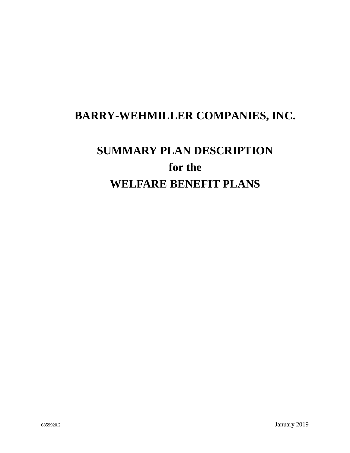# **BARRY-WEHMILLER COMPANIES, INC.**

# **SUMMARY PLAN DESCRIPTION for the WELFARE BENEFIT PLANS**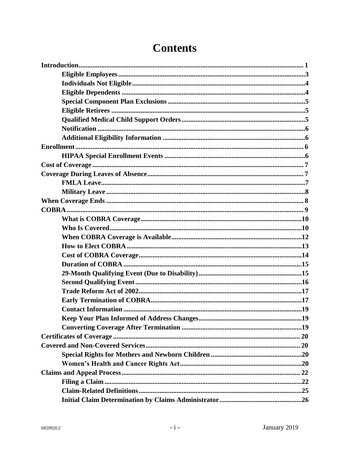## **Contents**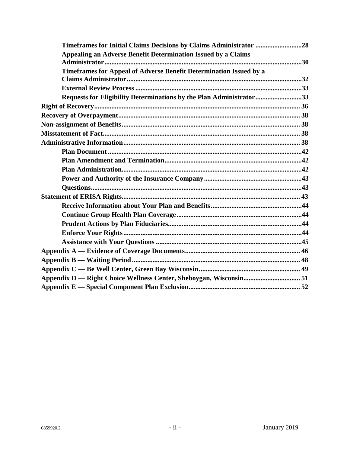| Appealing an Adverse Benefit Determination Issued by a Claims       |  |
|---------------------------------------------------------------------|--|
|                                                                     |  |
|                                                                     |  |
| Timeframes for Appeal of Adverse Benefit Determination Issued by a  |  |
|                                                                     |  |
|                                                                     |  |
| Requests for Eligibility Determinations by the Plan Administrator33 |  |
|                                                                     |  |
|                                                                     |  |
|                                                                     |  |
|                                                                     |  |
|                                                                     |  |
|                                                                     |  |
|                                                                     |  |
|                                                                     |  |
|                                                                     |  |
|                                                                     |  |
|                                                                     |  |
|                                                                     |  |
|                                                                     |  |
|                                                                     |  |
|                                                                     |  |
|                                                                     |  |
|                                                                     |  |
|                                                                     |  |
|                                                                     |  |
| Appendix D — Right Choice Wellness Center, Sheboygan, Wisconsin 51  |  |
|                                                                     |  |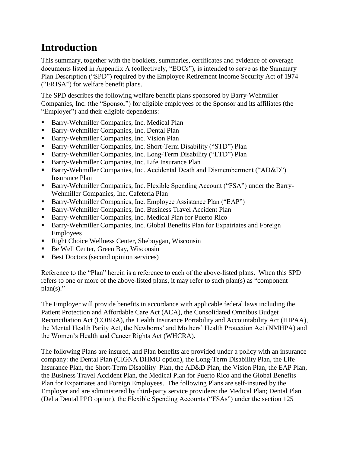## <span id="page-3-0"></span>**Introduction**

This summary, together with the booklets, summaries, certificates and evidence of coverage documents listed in Appendix A (collectively, "EOCs"), is intended to serve as the Summary Plan Description ("SPD") required by the Employee Retirement Income Security Act of 1974 ("ERISA") for welfare benefit plans.

The SPD describes the following welfare benefit plans sponsored by Barry-Wehmiller Companies, Inc. (the "Sponsor") for eligible employees of the Sponsor and its affiliates (the "Employer") and their eligible dependents:

- Barry-Wehmiller Companies, Inc. Medical Plan
- Barry-Wehmiller Companies, Inc. Dental Plan
- Barry-Wehmiller Companies, Inc. Vision Plan
- Barry-Wehmiller Companies, Inc. Short-Term Disability ("STD") Plan
- Barry-Wehmiller Companies, Inc. Long-Term Disability ("LTD") Plan
- Barry-Wehmiller Companies, Inc. Life Insurance Plan
- Barry-Wehmiller Companies, Inc. Accidental Death and Dismemberment ("AD&D") Insurance Plan
- Barry-Wehmiller Companies, Inc. Flexible Spending Account ("FSA") under the Barry-Wehmiller Companies, Inc. Cafeteria Plan
- Barry-Wehmiller Companies, Inc. Employee Assistance Plan ("EAP")
- Barry-Wehmiller Companies, Inc. Business Travel Accident Plan
- Barry-Wehmiller Companies, Inc. Medical Plan for Puerto Rico
- Barry-Wehmiller Companies, Inc. Global Benefits Plan for Expatriates and Foreign Employees
- Right Choice Wellness Center, Sheboygan, Wisconsin
- Be Well Center, Green Bay, Wisconsin
- Best Doctors (second opinion services)

Reference to the "Plan" herein is a reference to each of the above-listed plans. When this SPD refers to one or more of the above-listed plans, it may refer to such plan(s) as "component  $plan(s)$ ."

The Employer will provide benefits in accordance with applicable federal laws including the Patient Protection and Affordable Care Act (ACA), the Consolidated Omnibus Budget Reconciliation Act (COBRA), the Health Insurance Portability and Accountability Act (HIPAA), the Mental Health Parity Act, the Newborns' and Mothers' Health Protection Act (NMHPA) and the Women's Health and Cancer Rights Act (WHCRA).

The following Plans are insured, and Plan benefits are provided under a policy with an insurance company: the Dental Plan (CIGNA DHMO option), the Long-Term Disability Plan, the Life Insurance Plan, the Short-Term Disability Plan, the AD&D Plan, the Vision Plan, the EAP Plan, the Business Travel Accident Plan, the Medical Plan for Puerto Rico and the Global Benefits Plan for Expatriates and Foreign Employees. The following Plans are self-insured by the Employer and are administered by third-party service providers: the Medical Plan; Dental Plan (Delta Dental PPO option), the Flexible Spending Accounts ("FSAs") under the section 125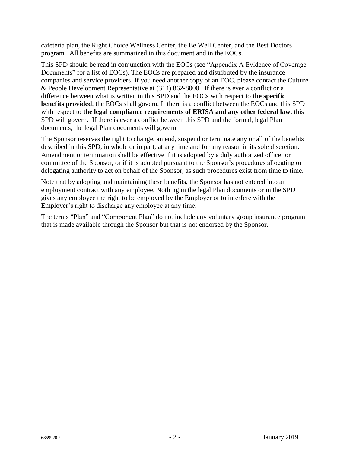cafeteria plan, the Right Choice Wellness Center, the Be Well Center, and the Best Doctors program. All benefits are summarized in this document and in the EOCs.

This SPD should be read in conjunction with the EOCs (see "Appendix A Evidence of Coverage Documents" for a list of EOCs). The EOCs are prepared and distributed by the insurance companies and service providers. If you need another copy of an EOC, please contact the Culture & People Development Representative at (314) 862-8000. If there is ever a conflict or a difference between what is written in this SPD and the EOCs with respect to **the specific benefits provided**, the EOCs shall govern. If there is a conflict between the EOCs and this SPD with respect to **the legal compliance requirements of ERISA and any other federal law**, this SPD will govern. If there is ever a conflict between this SPD and the formal, legal Plan documents, the legal Plan documents will govern.

The Sponsor reserves the right to change, amend, suspend or terminate any or all of the benefits described in this SPD, in whole or in part, at any time and for any reason in its sole discretion. Amendment or termination shall be effective if it is adopted by a duly authorized officer or committee of the Sponsor, or if it is adopted pursuant to the Sponsor's procedures allocating or delegating authority to act on behalf of the Sponsor, as such procedures exist from time to time.

Note that by adopting and maintaining these benefits, the Sponsor has not entered into an employment contract with any employee. Nothing in the legal Plan documents or in the SPD gives any employee the right to be employed by the Employer or to interfere with the Employer's right to discharge any employee at any time.

The terms "Plan" and "Component Plan" do not include any voluntary group insurance program that is made available through the Sponsor but that is not endorsed by the Sponsor.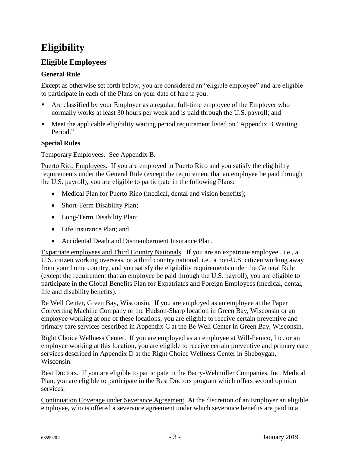## **Eligibility**

### <span id="page-5-0"></span>**Eligible Employees**

#### **General Rule**

Except as otherwise set forth below, you are considered an "eligible employee" and are eligible to participate in each of the Plans on your date of hire if you:

- Are classified by your Employer as a regular, full-time employee of the Employer who normally works at least 30 hours per week and is paid through the U.S. payroll; and
- Meet the applicable eligibility waiting period requirement listed on "Appendix B Waiting Period."

#### **Special Rules**

#### Temporary Employees. See Appendix B.

Puerto Rico Employees. If you are employed in Puerto Rico and you satisfy the eligibility requirements under the General Rule (except the requirement that an employee be paid through the U.S. payroll), you are eligible to participate in the following Plans:

- Medical Plan for Puerto Rico (medical, dental and vision benefits);
- Short-Term Disability Plan;
- Long-Term Disability Plan;
- Life Insurance Plan; and
- Accidental Death and Dismemberment Insurance Plan.

Expatriate employees and Third Country Nationals. If you are an expatriate employee , i.e., a U.S. citizen working overseas, or a third country national, i.e., a non-U.S. citizen working away from your home country, and you satisfy the eligibility requirements under the General Rule (except the requirement that an employee be paid through the U.S. payroll), you are eligible to participate in the Global Benefits Plan for Expatriates and Foreign Employees (medical, dental, life and disability benefits).

Be Well Center, Green Bay, Wisconsin. If you are employed as an employee at the Paper Converting Machine Company or the Hudson-Sharp location in Green Bay, Wisconsin or an employee working at one of these locations, you are eligible to receive certain preventive and primary care services described in Appendix C at the Be Well Center in Green Bay, Wisconsin.

Right Choice Wellness Center. If you are employed as an employee at Will-Pemco, Inc. or an employee working at this location, you are eligible to receive certain preventive and primary care services described in Appendix D at the Right Choice Wellness Center in Sheboygan, Wisconsin.

Best Doctors. If you are eligible to participate in the Barry-Wehmiller Companies, Inc. Medical Plan, you are eligible to participate in the Best Doctors program which offers second opinion services.

Continuation Coverage under Severance Agreement. At the discretion of an Employer an eligible employee, who is offered a severance agreement under which severance benefits are paid in a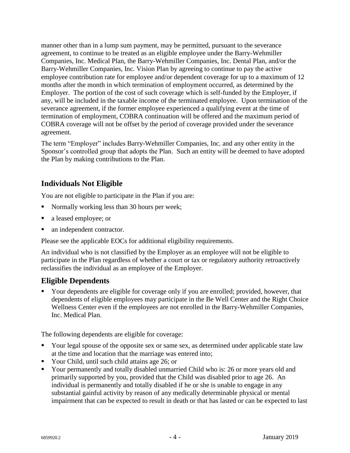manner other than in a lump sum payment, may be permitted, pursuant to the severance agreement, to continue to be treated as an eligible employee under the Barry-Wehmiller Companies, Inc. Medical Plan, the Barry-Wehmiller Companies, Inc. Dental Plan, and/or the Barry-Wehmiller Companies, Inc. Vision Plan by agreeing to continue to pay the active employee contribution rate for employee and/or dependent coverage for up to a maximum of 12 months after the month in which termination of employment occurred, as determined by the Employer. The portion of the cost of such coverage which is self-funded by the Employer, if any, will be included in the taxable income of the terminated employee. Upon termination of the severance agreement, if the former employee experienced a qualifying event at the time of termination of employment, COBRA continuation will be offered and the maximum period of COBRA coverage will not be offset by the period of coverage provided under the severance agreement.

The term "Employer" includes Barry-Wehmiller Companies, Inc. and any other entity in the Sponsor's controlled group that adopts the Plan. Such an entity will be deemed to have adopted the Plan by making contributions to the Plan.

## <span id="page-6-0"></span>**Individuals Not Eligible**

You are not eligible to participate in the Plan if you are:

- Normally working less than 30 hours per week;
- a leased employee; or
- an independent contractor.

Please see the applicable EOCs for additional eligibility requirements.

An individual who is not classified by the Employer as an employee will not be eligible to participate in the Plan regardless of whether a court or tax or regulatory authority retroactively reclassifies the individual as an employee of the Employer.

## <span id="page-6-1"></span>**Eligible Dependents**

Your dependents are eligible for coverage only if you are enrolled; provided, however, that dependents of eligible employees may participate in the Be Well Center and the Right Choice Wellness Center even if the employees are not enrolled in the Barry-Wehmiller Companies, Inc. Medical Plan.

The following dependents are eligible for coverage:

- **•** Your legal spouse of the opposite sex or same sex, as determined under applicable state law at the time and location that the marriage was entered into;
- Your Child, until such child attains age 26; or
- Your permanently and totally disabled unmarried Child who is: 26 or more years old and primarily supported by you, provided that the Child was disabled prior to age 26. An individual is permanently and totally disabled if he or she is unable to engage in any substantial gainful activity by reason of any medically determinable physical or mental impairment that can be expected to result in death or that has lasted or can be expected to last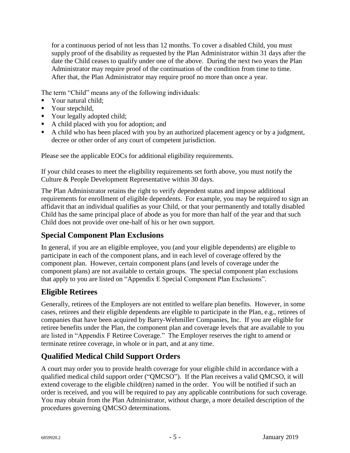for a continuous period of not less than 12 months. To cover a disabled Child, you must supply proof of the disability as requested by the Plan Administrator within 31 days after the date the Child ceases to qualify under one of the above. During the next two years the Plan Administrator may require proof of the continuation of the condition from time to time. After that, the Plan Administrator may require proof no more than once a year.

The term "Child" means any of the following individuals:

- Your natural child;
- Your stepchild,
- Your legally adopted child;
- A child placed with you for adoption; and
- A child who has been placed with you by an authorized placement agency or by a judgment, decree or other order of any court of competent jurisdiction.

Please see the applicable EOCs for additional eligibility requirements.

If your child ceases to meet the eligibility requirements set forth above, you must notify the Culture & People Development Representative within 30 days.

The Plan Administrator retains the right to verify dependent status and impose additional requirements for enrollment of eligible dependents. For example, you may be required to sign an affidavit that an individual qualifies as your Child, or that your permanently and totally disabled Child has the same principal place of abode as you for more than half of the year and that such Child does not provide over one-half of his or her own support.

## <span id="page-7-0"></span>**Special Component Plan Exclusions**

In general, if you are an eligible employee, you (and your eligible dependents) are eligible to participate in each of the component plans, and in each level of coverage offered by the component plan. However, certain component plans (and levels of coverage under the component plans) are not available to certain groups. The special component plan exclusions that apply to you are listed on "Appendix E Special Component Plan Exclusions".

## <span id="page-7-1"></span>**Eligible Retirees**

Generally, retirees of the Employers are not entitled to welfare plan benefits. However, in some cases, retirees and their eligible dependents are eligible to participate in the Plan, e.g., retirees of companies that have been acquired by Barry-Wehmiller Companies, Inc. If you are eligible for retiree benefits under the Plan, the component plan and coverage levels that are available to you are listed in "Appendix F Retiree Coverage." The Employer reserves the right to amend or terminate retiree coverage, in whole or in part, and at any time.

## <span id="page-7-2"></span>**Qualified Medical Child Support Orders**

A court may order you to provide health coverage for your eligible child in accordance with a qualified medical child support order ("QMCSO"). If the Plan receives a valid QMCSO, it will extend coverage to the eligible child(ren) named in the order. You will be notified if such an order is received, and you will be required to pay any applicable contributions for such coverage. You may obtain from the Plan Administrator, without charge, a more detailed description of the procedures governing QMCSO determinations.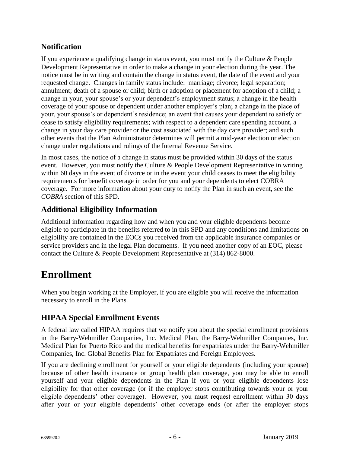## <span id="page-8-0"></span>**Notification**

If you experience a qualifying change in status event, you must notify the Culture & People Development Representative in order to make a change in your election during the year. The notice must be in writing and contain the change in status event, the date of the event and your requested change. Changes in family status include: marriage; divorce; legal separation; annulment; death of a spouse or child; birth or adoption or placement for adoption of a child; a change in your, your spouse's or your dependent's employment status; a change in the health coverage of your spouse or dependent under another employer's plan; a change in the place of your, your spouse's or dependent's residence; an event that causes your dependent to satisfy or cease to satisfy eligibility requirements; with respect to a dependent care spending account, a change in your day care provider or the cost associated with the day care provider; and such other events that the Plan Administrator determines will permit a mid-year election or election change under regulations and rulings of the Internal Revenue Service.

In most cases, the notice of a change in status must be provided within 30 days of the status event. However, you must notify the Culture & People Development Representative in writing within 60 days in the event of divorce or in the event your child ceases to meet the eligibility requirements for benefit coverage in order for you and your dependents to elect COBRA coverage. For more information about your duty to notify the Plan in such an event, see the *COBRA* section of this SPD.

### <span id="page-8-1"></span>**Additional Eligibility Information**

Additional information regarding how and when you and your eligible dependents become eligible to participate in the benefits referred to in this SPD and any conditions and limitations on eligibility are contained in the EOCs you received from the applicable insurance companies or service providers and in the legal Plan documents. If you need another copy of an EOC, please contact the Culture & People Development Representative at (314) 862-8000.

## <span id="page-8-2"></span>**Enrollment**

When you begin working at the Employer, if you are eligible you will receive the information necessary to enroll in the Plans.

### <span id="page-8-3"></span>**HIPAA Special Enrollment Events**

A federal law called HIPAA requires that we notify you about the special enrollment provisions in the Barry-Wehmiller Companies, Inc. Medical Plan, the Barry-Wehmiller Companies, Inc. Medical Plan for Puerto Rico and the medical benefits for expatriates under the Barry-Wehmiller Companies, Inc. Global Benefits Plan for Expatriates and Foreign Employees.

If you are declining enrollment for yourself or your eligible dependents (including your spouse) because of other health insurance or group health plan coverage, you may be able to enroll yourself and your eligible dependents in the Plan if you or your eligible dependents lose eligibility for that other coverage (or if the employer stops contributing towards your or your eligible dependents' other coverage). However, you must request enrollment within 30 days after your or your eligible dependents' other coverage ends (or after the employer stops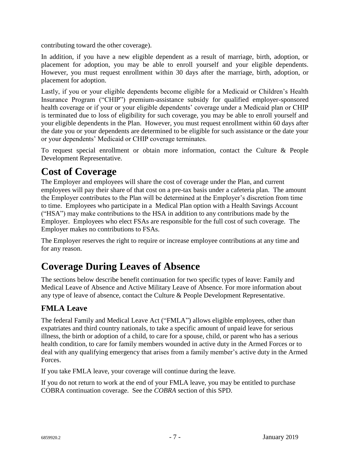contributing toward the other coverage).

In addition, if you have a new eligible dependent as a result of marriage, birth, adoption, or placement for adoption, you may be able to enroll yourself and your eligible dependents. However, you must request enrollment within 30 days after the marriage, birth, adoption, or placement for adoption.

Lastly, if you or your eligible dependents become eligible for a Medicaid or Children's Health Insurance Program ("CHIP") premium-assistance subsidy for qualified employer-sponsored health coverage or if your or your eligible dependents' coverage under a Medicaid plan or CHIP is terminated due to loss of eligibility for such coverage, you may be able to enroll yourself and your eligible dependents in the Plan. However, you must request enrollment within 60 days after the date you or your dependents are determined to be eligible for such assistance or the date your or your dependents' Medicaid or CHIP coverage terminates.

To request special enrollment or obtain more information, contact the Culture & People Development Representative.

## <span id="page-9-0"></span>**Cost of Coverage**

The Employer and employees will share the cost of coverage under the Plan, and current employees will pay their share of that cost on a pre-tax basis under a cafeteria plan. The amount the Employer contributes to the Plan will be determined at the Employer's discretion from time to time. Employees who participate in a Medical Plan option with a Health Savings Account ("HSA") may make contributions to the HSA in addition to any contributions made by the Employer. Employees who elect FSAs are responsible for the full cost of such coverage. The Employer makes no contributions to FSAs.

The Employer reserves the right to require or increase employee contributions at any time and for any reason.

## <span id="page-9-1"></span>**Coverage During Leaves of Absence**

The sections below describe benefit continuation for two specific types of leave: Family and Medical Leave of Absence and Active Military Leave of Absence. For more information about any type of leave of absence, contact the Culture & People Development Representative.

## <span id="page-9-2"></span>**FMLA Leave**

The federal Family and Medical Leave Act ("FMLA") allows eligible employees, other than expatriates and third country nationals, to take a specific amount of unpaid leave for serious illness, the birth or adoption of a child, to care for a spouse, child, or parent who has a serious health condition, to care for family members wounded in active duty in the Armed Forces or to deal with any qualifying emergency that arises from a family member's active duty in the Armed Forces.

If you take FMLA leave, your coverage will continue during the leave.

If you do not return to work at the end of your FMLA leave, you may be entitled to purchase COBRA continuation coverage. See the *COBRA* section of this SPD.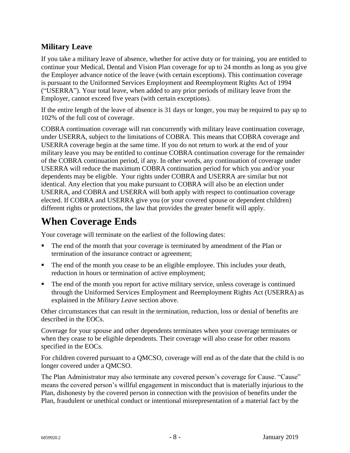## <span id="page-10-0"></span>**Military Leave**

If you take a military leave of absence, whether for active duty or for training, you are entitled to continue your Medical, Dental and Vision Plan coverage for up to 24 months as long as you give the Employer advance notice of the leave (with certain exceptions). This continuation coverage is pursuant to the Uniformed Services Employment and Reemployment Rights Act of 1994 ("USERRA"). Your total leave, when added to any prior periods of military leave from the Employer, cannot exceed five years (with certain exceptions).

If the entire length of the leave of absence is 31 days or longer, you may be required to pay up to 102% of the full cost of coverage.

COBRA continuation coverage will run concurrently with military leave continuation coverage, under USERRA, subject to the limitations of COBRA. This means that COBRA coverage and USERRA coverage begin at the same time. If you do not return to work at the end of your military leave you may be entitled to continue COBRA continuation coverage for the remainder of the COBRA continuation period, if any. In other words, any continuation of coverage under USERRA will reduce the maximum COBRA continuation period for which you and/or your dependents may be eligible. Your rights under COBRA and USERRA are similar but not identical. Any election that you make pursuant to COBRA will also be an election under USERRA, and COBRA and USERRA will both apply with respect to continuation coverage elected. If COBRA and USERRA give you (or your covered spouse or dependent children) different rights or protections, the law that provides the greater benefit will apply.

## <span id="page-10-1"></span>**When Coverage Ends**

Your coverage will terminate on the earliest of the following dates:

- The end of the month that your coverage is terminated by amendment of the Plan or termination of the insurance contract or agreement;
- The end of the month you cease to be an eligible employee. This includes your death, reduction in hours or termination of active employment;
- The end of the month you report for active military service, unless coverage is continued through the Uniformed Services Employment and Reemployment Rights Act (USERRA) as explained in the *Military Leave* section above.

Other circumstances that can result in the termination, reduction, loss or denial of benefits are described in the EOCs.

Coverage for your spouse and other dependents terminates when your coverage terminates or when they cease to be eligible dependents. Their coverage will also cease for other reasons specified in the EOCs.

For children covered pursuant to a QMCSO, coverage will end as of the date that the child is no longer covered under a QMCSO.

The Plan Administrator may also terminate any covered person's coverage for Cause. "Cause" means the covered person's willful engagement in misconduct that is materially injurious to the Plan, dishonesty by the covered person in connection with the provision of benefits under the Plan, fraudulent or unethical conduct or intentional misrepresentation of a material fact by the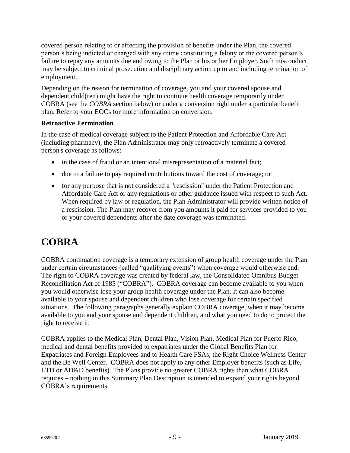covered person relating to or affecting the provision of benefits under the Plan, the covered person's being indicted or charged with any crime constituting a felony or the covered person's failure to repay any amounts due and owing to the Plan or his or her Employer. Such misconduct may be subject to criminal prosecution and disciplinary action up to and including termination of employment.

Depending on the reason for termination of coverage, you and your covered spouse and dependent child(ren) might have the right to continue health coverage temporarily under COBRA (see the *COBRA* section below) or under a conversion right under a particular benefit plan. Refer to your EOCs for more information on conversion.

#### **Retroactive Termination**

In the case of medical coverage subject to the Patient Protection and Affordable Care Act (including pharmacy), the Plan Administrator may only retroactively terminate a covered person's coverage as follows:

- in the case of fraud or an intentional misrepresentation of a material fact;
- due to a failure to pay required contributions toward the cost of coverage; or
- for any purpose that is not considered a "rescission" under the Patient Protection and Affordable Care Act or any regulations or other guidance issued with respect to such Act. When required by law or regulation, the Plan Administrator will provide written notice of a rescission. The Plan may recover from you amounts it paid for services provided to you or your covered dependents after the date coverage was terminated.

## <span id="page-11-0"></span>**COBRA**

COBRA continuation coverage is a temporary extension of group health coverage under the Plan under certain circumstances (called "qualifying events") when coverage would otherwise end. The right to COBRA coverage was created by federal law, the Consolidated Omnibus Budget Reconciliation Act of 1985 ("COBRA"). COBRA coverage can become available to you when you would otherwise lose your group health coverage under the Plan. It can also become available to your spouse and dependent children who lose coverage for certain specified situations. The following paragraphs generally explain COBRA coverage, when it may become available to you and your spouse and dependent children, and what you need to do to protect the right to receive it.

COBRA applies to the Medical Plan, Dental Plan, Vision Plan, Medical Plan for Puerto Rico, medical and dental benefits provided to expatriates under the Global Benefits Plan for Expatriates and Foreign Employees and to Health Care FSAs, the Right Choice Wellness Center and the Be Well Center. COBRA does not apply to any other Employer benefits (such as Life, LTD or AD&D benefits). The Plans provide no greater COBRA rights than what COBRA requires – nothing in this Summary Plan Description is intended to expand your rights beyond COBRA's requirements.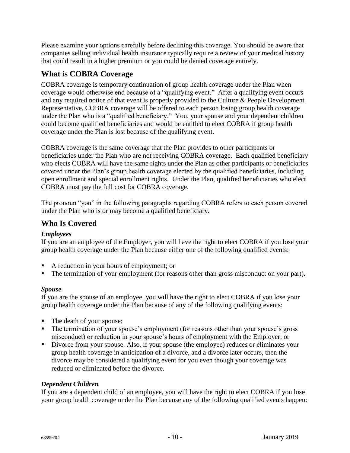Please examine your options carefully before declining this coverage. You should be aware that companies selling individual health insurance typically require a review of your medical history that could result in a higher premium or you could be denied coverage entirely.

### <span id="page-12-0"></span>**What is COBRA Coverage**

COBRA coverage is temporary continuation of group health coverage under the Plan when coverage would otherwise end because of a "qualifying event." After a qualifying event occurs and any required notice of that event is properly provided to the Culture & People Development Representative, COBRA coverage will be offered to each person losing group health coverage under the Plan who is a "qualified beneficiary." You, your spouse and your dependent children could become qualified beneficiaries and would be entitled to elect COBRA if group health coverage under the Plan is lost because of the qualifying event.

COBRA coverage is the same coverage that the Plan provides to other participants or beneficiaries under the Plan who are not receiving COBRA coverage. Each qualified beneficiary who elects COBRA will have the same rights under the Plan as other participants or beneficiaries covered under the Plan's group health coverage elected by the qualified beneficiaries, including open enrollment and special enrollment rights. Under the Plan, qualified beneficiaries who elect COBRA must pay the full cost for COBRA coverage.

The pronoun "you" in the following paragraphs regarding COBRA refers to each person covered under the Plan who is or may become a qualified beneficiary.

## <span id="page-12-1"></span>**Who Is Covered**

#### *Employees*

If you are an employee of the Employer, you will have the right to elect COBRA if you lose your group health coverage under the Plan because either one of the following qualified events:

- A reduction in your hours of employment; or
- The termination of your employment (for reasons other than gross misconduct on your part).

#### *Spouse*

If you are the spouse of an employee, you will have the right to elect COBRA if you lose your group health coverage under the Plan because of any of the following qualifying events:

- The death of your spouse;
- The termination of your spouse's employment (for reasons other than your spouse's gross misconduct) or reduction in your spouse's hours of employment with the Employer; or
- Divorce from your spouse. Also, if your spouse (the employee) reduces or eliminates your group health coverage in anticipation of a divorce, and a divorce later occurs, then the divorce may be considered a qualifying event for you even though your coverage was reduced or eliminated before the divorce.

#### *Dependent Children*

If you are a dependent child of an employee, you will have the right to elect COBRA if you lose your group health coverage under the Plan because any of the following qualified events happen: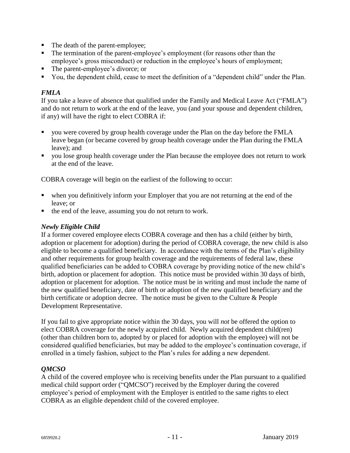- The death of the parent-employee;
- The termination of the parent-employee's employment (for reasons other than the employee's gross misconduct) or reduction in the employee's hours of employment;
- The parent-employee's divorce; or
- You, the dependent child, cease to meet the definition of a "dependent child" under the Plan.

#### *FMLA*

If you take a leave of absence that qualified under the Family and Medical Leave Act ("FMLA") and do not return to work at the end of the leave, you (and your spouse and dependent children, if any) will have the right to elect COBRA if:

- you were covered by group health coverage under the Plan on the day before the FMLA leave began (or became covered by group health coverage under the Plan during the FMLA leave); and
- you lose group health coverage under the Plan because the employee does not return to work at the end of the leave.

COBRA coverage will begin on the earliest of the following to occur:

- when you definitively inform your Employer that you are not returning at the end of the leave; or
- the end of the leave, assuming you do not return to work.

#### *Newly Eligible Child*

If a former covered employee elects COBRA coverage and then has a child (either by birth, adoption or placement for adoption) during the period of COBRA coverage, the new child is also eligible to become a qualified beneficiary. In accordance with the terms of the Plan's eligibility and other requirements for group health coverage and the requirements of federal law, these qualified beneficiaries can be added to COBRA coverage by providing notice of the new child's birth, adoption or placement for adoption. This notice must be provided within 30 days of birth, adoption or placement for adoption. The notice must be in writing and must include the name of the new qualified beneficiary, date of birth or adoption of the new qualified beneficiary and the birth certificate or adoption decree. The notice must be given to the Culture & People Development Representative.

If you fail to give appropriate notice within the 30 days, you will *not* be offered the option to elect COBRA coverage for the newly acquired child. Newly acquired dependent child(ren) (other than children born to, adopted by or placed for adoption with the employee) will not be considered qualified beneficiaries, but may be added to the employee's continuation coverage, if enrolled in a timely fashion, subject to the Plan's rules for adding a new dependent.

#### *QMCSO*

A child of the covered employee who is receiving benefits under the Plan pursuant to a qualified medical child support order ("QMCSO") received by the Employer during the covered employee's period of employment with the Employer is entitled to the same rights to elect COBRA as an eligible dependent child of the covered employee.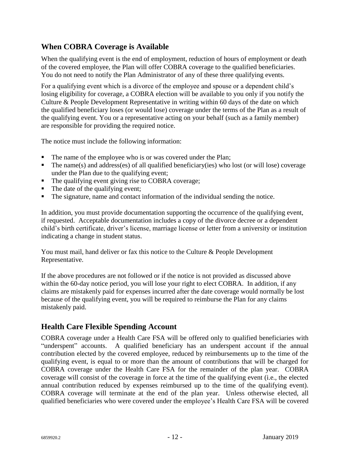## <span id="page-14-0"></span>**When COBRA Coverage is Available**

When the qualifying event is the end of employment, reduction of hours of employment or death of the covered employee, the Plan will offer COBRA coverage to the qualified beneficiaries. You do not need to notify the Plan Administrator of any of these three qualifying events.

For a qualifying event which is a divorce of the employee and spouse or a dependent child's losing eligibility for coverage, a COBRA election will be available to you only if you notify the Culture & People Development Representative in writing within 60 days of the date on which the qualified beneficiary loses (or would lose) coverage under the terms of the Plan as a result of the qualifying event. You or a representative acting on your behalf (such as a family member) are responsible for providing the required notice.

The notice must include the following information:

- The name of the employee who is or was covered under the Plan;
- The name(s) and address(es) of all qualified beneficiary(ies) who lost (or will lose) coverage under the Plan due to the qualifying event;
- The qualifying event giving rise to COBRA coverage;
- The date of the qualifying event;
- The signature, name and contact information of the individual sending the notice.

In addition, you must provide documentation supporting the occurrence of the qualifying event, if requested. Acceptable documentation includes a copy of the divorce decree or a dependent child's birth certificate, driver's license, marriage license or letter from a university or institution indicating a change in student status.

You must mail, hand deliver or fax this notice to the Culture & People Development Representative.

If the above procedures are not followed or if the notice is not provided as discussed above within the 60-day notice period, you will lose your right to elect COBRA. In addition, if any claims are mistakenly paid for expenses incurred after the date coverage would normally be lost because of the qualifying event, you will be required to reimburse the Plan for any claims mistakenly paid.

## **Health Care Flexible Spending Account**

COBRA coverage under a Health Care FSA will be offered only to qualified beneficiaries with "underspent" accounts. A qualified beneficiary has an underspent account if the annual contribution elected by the covered employee, reduced by reimbursements up to the time of the qualifying event, is equal to or more than the amount of contributions that will be charged for COBRA coverage under the Health Care FSA for the remainder of the plan year. COBRA coverage will consist of the coverage in force at the time of the qualifying event (i.e., the elected annual contribution reduced by expenses reimbursed up to the time of the qualifying event). COBRA coverage will terminate at the end of the plan year. Unless otherwise elected, all qualified beneficiaries who were covered under the employee's Health Care FSA will be covered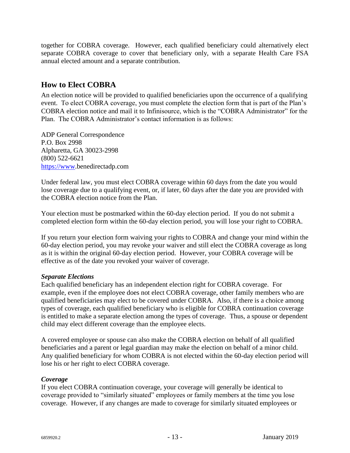together for COBRA coverage. However, each qualified beneficiary could alternatively elect separate COBRA coverage to cover that beneficiary only, with a separate Health Care FSA annual elected amount and a separate contribution.

### <span id="page-15-0"></span>**How to Elect COBRA**

An election notice will be provided to qualified beneficiaries upon the occurrence of a qualifying event. To elect COBRA coverage, you must complete the election form that is part of the Plan's COBRA election notice and mail it to Infinisource, which is the "COBRA Administrator" for the Plan. The COBRA Administrator's contact information is as follows:

ADP General Correspondence P.O. Box 2998 Alpharetta, GA 30023-2998 (800) 522-6621 [https://www.](https://www/)benedirectadp.com

Under federal law, you must elect COBRA coverage within 60 days from the date you would lose coverage due to a qualifying event, or, if later, 60 days after the date you are provided with the COBRA election notice from the Plan.

Your election must be postmarked within the 60-day election period. If you do not submit a completed election form within the 60-day election period, you will lose your right to COBRA.

If you return your election form waiving your rights to COBRA and change your mind within the 60-day election period, you may revoke your waiver and still elect the COBRA coverage as long as it is within the original 60-day election period. However, your COBRA coverage will be effective as of the date you revoked your waiver of coverage.

#### *Separate Elections*

Each qualified beneficiary has an independent election right for COBRA coverage. For example, even if the employee does not elect COBRA coverage, other family members who are qualified beneficiaries may elect to be covered under COBRA. Also, if there is a choice among types of coverage, each qualified beneficiary who is eligible for COBRA continuation coverage is entitled to make a separate election among the types of coverage. Thus, a spouse or dependent child may elect different coverage than the employee elects.

A covered employee or spouse can also make the COBRA election on behalf of all qualified beneficiaries and a parent or legal guardian may make the election on behalf of a minor child. Any qualified beneficiary for whom COBRA is not elected within the 60-day election period will lose his or her right to elect COBRA coverage.

#### *Coverage*

If you elect COBRA continuation coverage, your coverage will generally be identical to coverage provided to "similarly situated" employees or family members at the time you lose coverage. However, if any changes are made to coverage for similarly situated employees or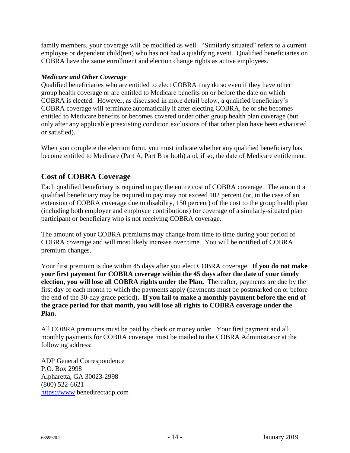family members, your coverage will be modified as well. "Similarly situated" refers to a current employee or dependent child(ren) who has not had a qualifying event. Qualified beneficiaries on COBRA have the same enrollment and election change rights as active employees.

#### *Medicare and Other Coverage*

Qualified beneficiaries who are entitled to elect COBRA may do so even if they have other group health coverage or are entitled to Medicare benefits on or before the date on which COBRA is elected. However, as discussed in more detail below, a qualified beneficiary's COBRA coverage will terminate automatically if after electing COBRA, he or she becomes entitled to Medicare benefits or becomes covered under other group health plan coverage (but only after any applicable preexisting condition exclusions of that other plan have been exhausted or satisfied).

When you complete the election form, you must indicate whether any qualified beneficiary has become entitled to Medicare (Part A, Part B or both) and, if so, the date of Medicare entitlement.

### <span id="page-16-0"></span>**Cost of COBRA Coverage**

Each qualified beneficiary is required to pay the entire cost of COBRA coverage. The amount a qualified beneficiary may be required to pay may not exceed 102 percent (or, in the case of an extension of COBRA coverage due to disability, 150 percent) of the cost to the group health plan (including both employer and employee contributions) for coverage of a similarly-situated plan participant or beneficiary who is not receiving COBRA coverage.

The amount of your COBRA premiums may change from time to time during your period of COBRA coverage and will most likely increase over time. You will be notified of COBRA premium changes.

Your first premium is due within 45 days after you elect COBRA coverage. **If you do not make your first payment for COBRA coverage within the 45 days after the date of your timely election, you will lose all COBRA rights under the Plan.** Thereafter, payments are due by the first day of each month to which the payments apply (payments must be postmarked on or before the end of the 30-day grace period**). If you fail to make a monthly payment before the end of the grace period for that month, you will lose all rights to COBRA coverage under the Plan.**

All COBRA premiums must be paid by check or money order. Your first payment and all monthly payments for COBRA coverage must be mailed to the COBRA Administrator at the following address:

ADP General Correspondence P.O. Box 2998 Alpharetta, GA 30023-2998 (800) 522-6621 [https://www.](https://www/)benedirectadp.com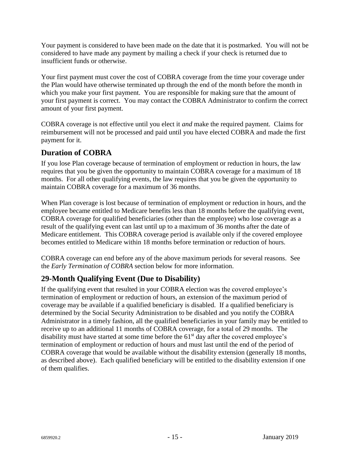Your payment is considered to have been made on the date that it is postmarked. You will not be considered to have made any payment by mailing a check if your check is returned due to insufficient funds or otherwise.

Your first payment must cover the cost of COBRA coverage from the time your coverage under the Plan would have otherwise terminated up through the end of the month before the month in which you make your first payment. You are responsible for making sure that the amount of your first payment is correct. You may contact the COBRA Administrator to confirm the correct amount of your first payment.

COBRA coverage is not effective until you elect it *and* make the required payment. Claims for reimbursement will not be processed and paid until you have elected COBRA and made the first payment for it.

## <span id="page-17-0"></span>**Duration of COBRA**

If you lose Plan coverage because of termination of employment or reduction in hours, the law requires that you be given the opportunity to maintain COBRA coverage for a maximum of 18 months. For all other qualifying events, the law requires that you be given the opportunity to maintain COBRA coverage for a maximum of 36 months.

When Plan coverage is lost because of termination of employment or reduction in hours, and the employee became entitled to Medicare benefits less than 18 months before the qualifying event, COBRA coverage for qualified beneficiaries (other than the employee) who lose coverage as a result of the qualifying event can last until up to a maximum of 36 months after the date of Medicare entitlement. This COBRA coverage period is available only if the covered employee becomes entitled to Medicare within 18 months before termination or reduction of hours.

COBRA coverage can end before any of the above maximum periods for several reasons. See the *Early Termination of COBRA* section below for more information.

## <span id="page-17-1"></span>**29-Month Qualifying Event (Due to Disability)**

If the qualifying event that resulted in your COBRA election was the covered employee's termination of employment or reduction of hours, an extension of the maximum period of coverage may be available if a qualified beneficiary is disabled. If a qualified beneficiary is determined by the Social Security Administration to be disabled and you notify the COBRA Administrator in a timely fashion, all the qualified beneficiaries in your family may be entitled to receive up to an additional 11 months of COBRA coverage, for a total of 29 months. The disability must have started at some time before the  $61<sup>st</sup>$  day after the covered employee's termination of employment or reduction of hours and must last until the end of the period of COBRA coverage that would be available without the disability extension (generally 18 months, as described above). Each qualified beneficiary will be entitled to the disability extension if one of them qualifies.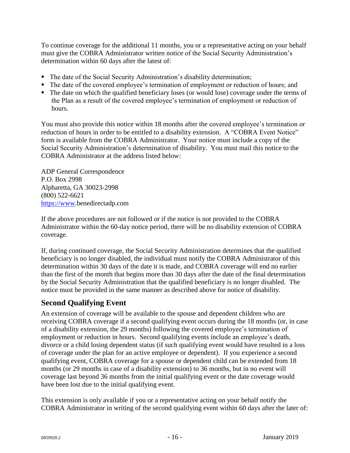To continue coverage for the additional 11 months, you or a representative acting on your behalf must give the COBRA Administrator written notice of the Social Security Administration's determination within 60 days after the latest of:

- The date of the Social Security Administration's disability determination;
- The date of the covered employee's termination of employment or reduction of hours; and
- The date on which the qualified beneficiary loses (or would lose) coverage under the terms of the Plan as a result of the covered employee's termination of employment or reduction of hours.

You must also provide this notice within 18 months after the covered employee's termination or reduction of hours in order to be entitled to a disability extension. A "COBRA Event Notice" form is available from the COBRA Administrator. Your notice must include a copy of the Social Security Administration's determination of disability. You must mail this notice to the COBRA Administrator at the address listed below:

ADP General Correspondence P.O. Box 2998 Alpharetta, GA 30023-2998 (800) 522-6621 [https://www.](https://www/)benedirectadp.com

If the above procedures are not followed or if the notice is not provided to the COBRA Administrator within the 60-day notice period, there will be no disability extension of COBRA coverage.

If, during continued coverage, the Social Security Administration determines that the qualified beneficiary is no longer disabled, the individual must notify the COBRA Administrator of this determination within 30 days of the date it is made, and COBRA coverage will end no earlier than the first of the month that begins more than 30 days after the date of the final determination by the Social Security Administration that the qualified beneficiary is no longer disabled. The notice must be provided in the same manner as described above for notice of disability.

## <span id="page-18-0"></span>**Second Qualifying Event**

An extension of coverage will be available to the spouse and dependent children who are receiving COBRA coverage if a second qualifying event occurs during the 18 months (or, in case of a disability extension, the 29 months) following the covered employee's termination of employment or reduction in hours. Second qualifying events include an employee's death, divorce or a child losing dependent status (if such qualifying event would have resulted in a loss of coverage under the plan for an active employee or dependent). If you experience a second qualifying event, COBRA coverage for a spouse or dependent child can be extended from 18 months (or 29 months in case of a disability extension) to 36 months, but in no event will coverage last beyond 36 months from the initial qualifying event or the date coverage would have been lost due to the initial qualifying event.

This extension is only available if you or a representative acting on your behalf notify the COBRA Administrator in writing of the second qualifying event within 60 days after the later of: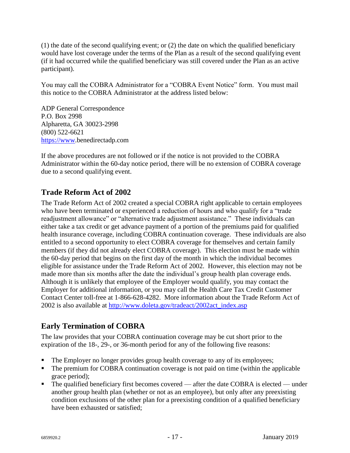(1) the date of the second qualifying event; or (2) the date on which the qualified beneficiary would have lost coverage under the terms of the Plan as a result of the second qualifying event (if it had occurred while the qualified beneficiary was still covered under the Plan as an active participant).

You may call the COBRA Administrator for a "COBRA Event Notice" form. You must mail this notice to the COBRA Administrator at the address listed below:

ADP General Correspondence P.O. Box 2998 Alpharetta, GA 30023-2998 (800) 522-6621 [https://www.](https://www/)benedirectadp.com

If the above procedures are not followed or if the notice is not provided to the COBRA Administrator within the 60-day notice period, there will be no extension of COBRA coverage due to a second qualifying event.

## <span id="page-19-0"></span>**Trade Reform Act of 2002**

The Trade Reform Act of 2002 created a special COBRA right applicable to certain employees who have been terminated or experienced a reduction of hours and who qualify for a "trade readjustment allowance" or "alternative trade adjustment assistance." These individuals can either take a tax credit or get advance payment of a portion of the premiums paid for qualified health insurance coverage, including COBRA continuation coverage. These individuals are also entitled to a second opportunity to elect COBRA coverage for themselves and certain family members (if they did not already elect COBRA coverage). This election must be made within the 60-day period that begins on the first day of the month in which the individual becomes eligible for assistance under the Trade Reform Act of 2002. However, this election may not be made more than six months after the date the individual's group health plan coverage ends. Although it is unlikely that employee of the Employer would qualify, you may contact the Employer for additional information, or you may call the Health Care Tax Credit Customer Contact Center toll-free at 1-866-628-4282. More information about the Trade Reform Act of 2002 is also available at [http://www.](http://www/)doleta.gov/tradeact/2002act\_index.asp

## <span id="page-19-1"></span>**Early Termination of COBRA**

The law provides that your COBRA continuation coverage may be cut short prior to the expiration of the 18-, 29-, or 36-month period for any of the following five reasons:

- The Employer no longer provides group health coverage to any of its employees;
- The premium for COBRA continuation coverage is not paid on time (within the applicable grace period);
- The qualified beneficiary first becomes covered after the date COBRA is elected under another group health plan (whether or not as an employee), but only after any preexisting condition exclusions of the other plan for a preexisting condition of a qualified beneficiary have been exhausted or satisfied;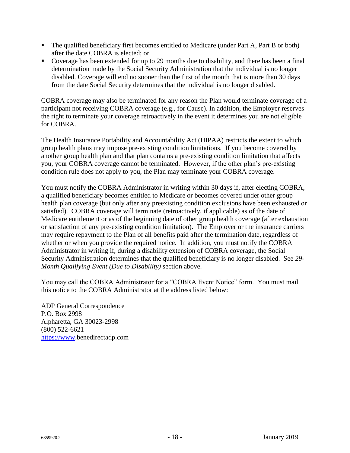- The qualified beneficiary first becomes entitled to Medicare (under Part A, Part B or both) after the date COBRA is elected; or
- Coverage has been extended for up to 29 months due to disability, and there has been a final determination made by the Social Security Administration that the individual is no longer disabled. Coverage will end no sooner than the first of the month that is more than 30 days from the date Social Security determines that the individual is no longer disabled.

COBRA coverage may also be terminated for any reason the Plan would terminate coverage of a participant not receiving COBRA coverage (e.g., for Cause). In addition, the Employer reserves the right to terminate your coverage retroactively in the event it determines you are not eligible for COBRA.

The Health Insurance Portability and Accountability Act (HIPAA) restricts the extent to which group health plans may impose pre-existing condition limitations. If you become covered by another group health plan and that plan contains a pre-existing condition limitation that affects you, your COBRA coverage cannot be terminated. However, if the other plan's pre-existing condition rule does not apply to you, the Plan may terminate your COBRA coverage.

You must notify the COBRA Administrator in writing within 30 days if, after electing COBRA, a qualified beneficiary becomes entitled to Medicare or becomes covered under other group health plan coverage (but only after any preexisting condition exclusions have been exhausted or satisfied). COBRA coverage will terminate (retroactively, if applicable) as of the date of Medicare entitlement or as of the beginning date of other group health coverage (after exhaustion or satisfaction of any pre-existing condition limitation). The Employer or the insurance carriers may require repayment to the Plan of all benefits paid after the termination date, regardless of whether or when you provide the required notice. In addition, you must notify the COBRA Administrator in writing if, during a disability extension of COBRA coverage, the Social Security Administration determines that the qualified beneficiary is no longer disabled. See *29- Month Qualifying Event (Due to Disability)* section above.

You may call the COBRA Administrator for a "COBRA Event Notice" form. You must mail this notice to the COBRA Administrator at the address listed below:

ADP General Correspondence P.O. Box 2998 Alpharetta, GA 30023-2998 (800) 522-6621 [https://www.](https://www/)benedirectadp.com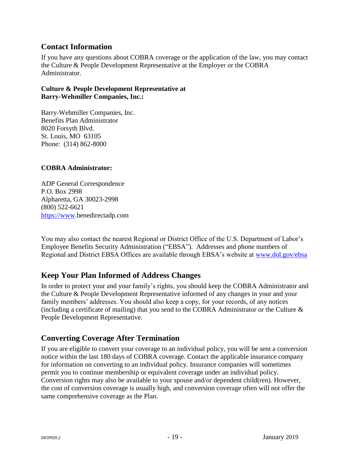### <span id="page-21-0"></span>**Contact Information**

If you have any questions about COBRA coverage or the application of the law, you may contact the Culture & People Development Representative at the Employer or the COBRA Administrator.

#### **Culture & People Development Representative at Barry-Wehmiller Companies, Inc.:**

Barry-Wehmiller Companies, Inc. Benefits Plan Administrator 8020 Forsyth Blvd. St. Louis, MO 63105 Phone: (314) 862-8000

#### **COBRA Administrator:**

ADP General Correspondence P.O. Box 2998 Alpharetta, GA 30023-2998 (800) 522-6621 [https://www.](https://www/)benedirectadp.com

You may also contact the nearest Regional or District Office of the U.S. Department of Labor's Employee Benefits Security Administration ("EBSA"). Addresses and phone numbers of Regional and District EBSA Offices are available through EBSA's website at [www.dol.](http://www.dol/)gov/ebsa

### <span id="page-21-1"></span>**Keep Your Plan Informed of Address Changes**

In order to protect your and your family's rights, you should keep the COBRA Administrator and the Culture & People Development Representative informed of any changes in your and your family members' addresses. You should also keep a copy, for your records, of any notices (including a certificate of mailing) that you send to the COBRA Administrator or the Culture & People Development Representative.

### <span id="page-21-2"></span>**Converting Coverage After Termination**

If you are eligible to convert your coverage to an individual policy, you will be sent a conversion notice within the last 180 days of COBRA coverage. Contact the applicable insurance company for information on converting to an individual policy. Insurance companies will sometimes permit you to continue membership or equivalent coverage under an individual policy. Conversion rights may also be available to your spouse and/or dependent child(ren). However, the cost of conversion coverage is usually high, and conversion coverage often will not offer the same comprehensive coverage as the Plan.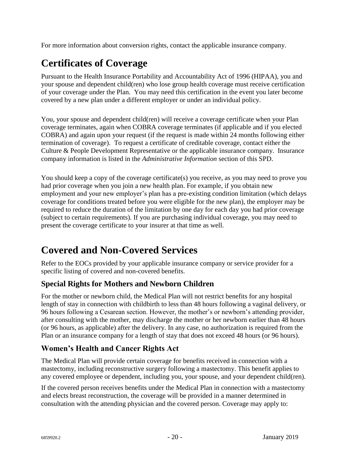For more information about conversion rights, contact the applicable insurance company.

## <span id="page-22-0"></span>**Certificates of Coverage**

Pursuant to the Health Insurance Portability and Accountability Act of 1996 (HIPAA), you and your spouse and dependent child(ren) who lose group health coverage must receive certification of your coverage under the Plan. You may need this certification in the event you later become covered by a new plan under a different employer or under an individual policy.

You, your spouse and dependent child(ren) will receive a coverage certificate when your Plan coverage terminates, again when COBRA coverage terminates (if applicable and if you elected COBRA) and again upon your request (if the request is made within 24 months following either termination of coverage). To request a certificate of creditable coverage, contact either the Culture & People Development Representative or the applicable insurance company. Insurance company information is listed in the *Administrative Information* section of this SPD.

You should keep a copy of the coverage certificate(s) you receive, as you may need to prove you had prior coverage when you join a new health plan. For example, if you obtain new employment and your new employer's plan has a pre-existing condition limitation (which delays coverage for conditions treated before you were eligible for the new plan), the employer may be required to reduce the duration of the limitation by one day for each day you had prior coverage (subject to certain requirements). If you are purchasing individual coverage, you may need to present the coverage certificate to your insurer at that time as well.

## <span id="page-22-1"></span>**Covered and Non-Covered Services**

Refer to the EOCs provided by your applicable insurance company or service provider for a specific listing of covered and non-covered benefits.

## <span id="page-22-2"></span>**Special Rights for Mothers and Newborn Children**

For the mother or newborn child, the Medical Plan will not restrict benefits for any hospital length of stay in connection with childbirth to less than 48 hours following a vaginal delivery, or 96 hours following a Cesarean section. However, the mother's or newborn's attending provider, after consulting with the mother, may discharge the mother or her newborn earlier than 48 hours (or 96 hours, as applicable) after the delivery. In any case, no authorization is required from the Plan or an insurance company for a length of stay that does not exceed 48 hours (or 96 hours).

## <span id="page-22-3"></span>**Women's Health and Cancer Rights Act**

The Medical Plan will provide certain coverage for benefits received in connection with a mastectomy, including reconstructive surgery following a mastectomy. This benefit applies to any covered employee or dependent, including you, your spouse, and your dependent child(ren).

If the covered person receives benefits under the Medical Plan in connection with a mastectomy and elects breast reconstruction, the coverage will be provided in a manner determined in consultation with the attending physician and the covered person. Coverage may apply to: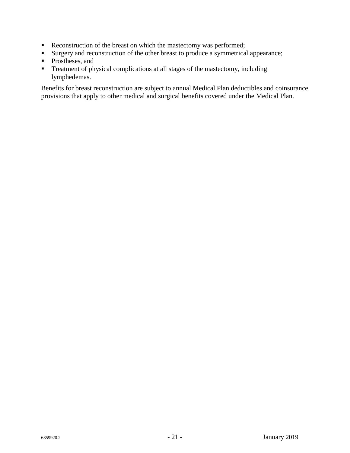- Reconstruction of the breast on which the mastectomy was performed;
- Surgery and reconstruction of the other breast to produce a symmetrical appearance;
- Prostheses, and
- Treatment of physical complications at all stages of the mastectomy, including lymphedemas.

Benefits for breast reconstruction are subject to annual Medical Plan deductibles and coinsurance provisions that apply to other medical and surgical benefits covered under the Medical Plan.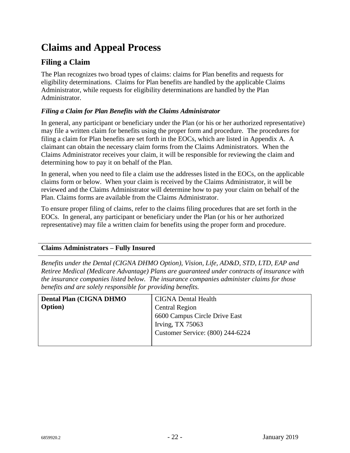## <span id="page-24-0"></span>**Claims and Appeal Process**

## <span id="page-24-1"></span>**Filing a Claim**

The Plan recognizes two broad types of claims: claims for Plan benefits and requests for eligibility determinations. Claims for Plan benefits are handled by the applicable Claims Administrator, while requests for eligibility determinations are handled by the Plan Administrator.

#### *Filing a Claim for Plan Benefits with the Claims Administrator*

In general, any participant or beneficiary under the Plan (or his or her authorized representative) may file a written claim for benefits using the proper form and procedure. The procedures for filing a claim for Plan benefits are set forth in the EOCs, which are listed in Appendix A. A claimant can obtain the necessary claim forms from the Claims Administrators. When the Claims Administrator receives your claim, it will be responsible for reviewing the claim and determining how to pay it on behalf of the Plan.

In general, when you need to file a claim use the addresses listed in the EOCs, on the applicable claims form or below. When your claim is received by the Claims Administrator, it will be reviewed and the Claims Administrator will determine how to pay your claim on behalf of the Plan. Claims forms are available from the Claims Administrator.

To ensure proper filing of claims, refer to the claims filing procedures that are set forth in the EOCs. In general, any participant or beneficiary under the Plan (or his or her authorized representative) may file a written claim for benefits using the proper form and procedure.

#### **Claims Administrators – Fully Insured**

*Benefits under the Dental (CIGNA DHMO Option), Vision, Life, AD&D, STD, LTD, EAP and Retiree Medical (Medicare Advantage) Plans are guaranteed under contracts of insurance with the insurance companies listed below. The insurance companies administer claims for those benefits and are solely responsible for providing benefits.* 

| <b>Dental Plan (CIGNA DHMO)</b> | <b>CIGNA Dental Health</b>       |
|---------------------------------|----------------------------------|
| <b>Option</b> )                 | <b>Central Region</b>            |
|                                 | 6600 Campus Circle Drive East    |
|                                 | Irving, TX $75063$               |
|                                 | Customer Service: (800) 244-6224 |
|                                 |                                  |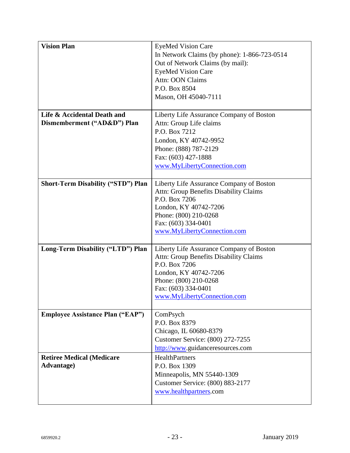| <b>Vision Plan</b>                        | <b>EyeMed Vision Care</b>                    |
|-------------------------------------------|----------------------------------------------|
|                                           | In Network Claims (by phone): 1-866-723-0514 |
|                                           | Out of Network Claims (by mail):             |
|                                           | <b>EyeMed Vision Care</b>                    |
|                                           | Attn: OON Claims                             |
|                                           | P.O. Box 8504                                |
|                                           |                                              |
|                                           | Mason, OH 45040-7111                         |
|                                           |                                              |
| Life & Accidental Death and               | Liberty Life Assurance Company of Boston     |
| Dismemberment ("AD&D") Plan               | Attn: Group Life claims                      |
|                                           | P.O. Box 7212                                |
|                                           | London, KY 40742-9952                        |
|                                           | Phone: (888) 787-2129                        |
|                                           | Fax: (603) 427-1888                          |
|                                           | www.MyLibertyConnection.com                  |
|                                           |                                              |
| <b>Short-Term Disability ("STD") Plan</b> | Liberty Life Assurance Company of Boston     |
|                                           | Attn: Group Benefits Disability Claims       |
|                                           | P.O. Box 7206                                |
|                                           | London, KY 40742-7206                        |
|                                           | Phone: (800) 210-0268                        |
|                                           | Fax: (603) 334-0401                          |
|                                           | www.MyLibertyConnection.com                  |
|                                           |                                              |
| Long-Term Disability ("LTD") Plan         | Liberty Life Assurance Company of Boston     |
|                                           | Attn: Group Benefits Disability Claims       |
|                                           | P.O. Box 7206                                |
|                                           | London, KY 40742-7206                        |
|                                           | Phone: (800) 210-0268                        |
|                                           | Fax: (603) 334-0401                          |
|                                           | www.MyLibertyConnection.com                  |
|                                           |                                              |
| <b>Employee Assistance Plan ("EAP")</b>   | ComPsych                                     |
|                                           | P.O. Box 8379                                |
|                                           | Chicago, IL 60680-8379                       |
|                                           | Customer Service: (800) 272-7255             |
|                                           | http://www.guidanceresources.com             |
| <b>Retiree Medical (Medicare</b>          | HealthPartners                               |
| <b>Advantage)</b>                         | P.O. Box 1309                                |
|                                           |                                              |
|                                           | Minneapolis, MN 55440-1309                   |
|                                           | Customer Service: (800) 883-2177             |
|                                           | www.healthpartners.com                       |
|                                           |                                              |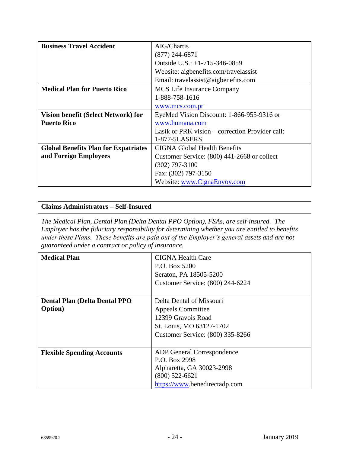| <b>Business Travel Accident</b>             | AIG/Chartis                                     |
|---------------------------------------------|-------------------------------------------------|
|                                             | $(877)$ 244-6871                                |
|                                             | Outside U.S.: $+1-715-346-0859$                 |
|                                             | Website: aigbenefits.com/travelassist           |
|                                             | Email: travelassist@aigbenefits.com             |
| <b>Medical Plan for Puerto Rico</b>         | MCS Life Insurance Company                      |
|                                             | 1-888-758-1616                                  |
|                                             | www.mcs.com.pr                                  |
| Vision benefit (Select Network) for         | EyeMed Vision Discount: 1-866-955-9316 or       |
| <b>Puerto Rico</b>                          | www.humana.com                                  |
|                                             | Lasik or PRK vision – correction Provider call: |
|                                             | 1-877-5LASERS                                   |
| <b>Global Benefits Plan for Expatriates</b> | <b>CIGNA Global Health Benefits</b>             |
| and Foreign Employees                       | Customer Service: (800) 441-2668 or collect     |
|                                             | $(302)$ 797-3100                                |
|                                             | Fax: (302) 797-3150                             |
|                                             | Website: www.CignaEnvoy.com                     |

#### **Claims Administrators – Self-Insured**

*The Medical Plan, Dental Plan (Delta Dental PPO Option), FSAs, are self-insured. The Employer has the fiduciary responsibility for determining whether you are entitled to benefits under these Plans. These benefits are paid out of the Employer's general assets and are not guaranteed under a contract or policy of insurance.*

| <b>Medical Plan</b>                                     | CIGNA Health Care<br>P.O. Box 5200<br>Seraton, PA 18505-5200<br>Customer Service: (800) 244-6224                                           |
|---------------------------------------------------------|--------------------------------------------------------------------------------------------------------------------------------------------|
| <b>Dental Plan (Delta Dental PPO</b><br><b>Option</b> ) | Delta Dental of Missouri<br><b>Appeals Committee</b><br>12399 Gravois Road<br>St. Louis, MO 63127-1702<br>Customer Service: (800) 335-8266 |
| <b>Flexible Spending Accounts</b>                       | <b>ADP</b> General Correspondence<br>P.O. Box 2998<br>Alpharetta, GA 30023-2998<br>$(800)$ 522-6621<br>https://www.benedirectadp.com       |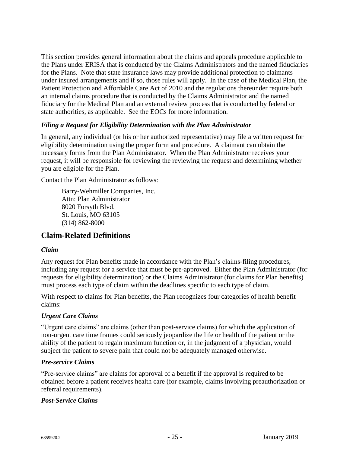This section provides general information about the claims and appeals procedure applicable to the Plans under ERISA that is conducted by the Claims Administrators and the named fiduciaries for the Plans. Note that state insurance laws may provide additional protection to claimants under insured arrangements and if so, those rules will apply. In the case of the Medical Plan, the Patient Protection and Affordable Care Act of 2010 and the regulations thereunder require both an internal claims procedure that is conducted by the Claims Administrator and the named fiduciary for the Medical Plan and an external review process that is conducted by federal or state authorities, as applicable. See the EOCs for more information.

#### *Filing a Request for Eligibility Determination with the Plan Administrator*

In general, any individual (or his or her authorized representative) may file a written request for eligibility determination using the proper form and procedure. A claimant can obtain the necessary forms from the Plan Administrator. When the Plan Administrator receives your request, it will be responsible for reviewing the reviewing the request and determining whether you are eligible for the Plan.

Contact the Plan Administrator as follows:

Barry-Wehmiller Companies, Inc. Attn: Plan Administrator 8020 Forsyth Blvd. St. Louis, MO 63105 (314) 862-8000

### <span id="page-27-0"></span>**Claim-Related Definitions**

#### *Claim*

Any request for Plan benefits made in accordance with the Plan's claims-filing procedures, including any request for a service that must be pre-approved. Either the Plan Administrator (for requests for eligibility determination) or the Claims Administrator (for claims for Plan benefits) must process each type of claim within the deadlines specific to each type of claim.

With respect to claims for Plan benefits, the Plan recognizes four categories of health benefit claims:

#### *Urgent Care Claims*

"Urgent care claims" are claims (other than post-service claims) for which the application of non-urgent care time frames could seriously jeopardize the life or health of the patient or the ability of the patient to regain maximum function or, in the judgment of a physician, would subject the patient to severe pain that could not be adequately managed otherwise.

#### *Pre-service Claims*

"Pre-service claims" are claims for approval of a benefit if the approval is required to be obtained before a patient receives health care (for example, claims involving preauthorization or referral requirements).

#### *Post-Service Claims*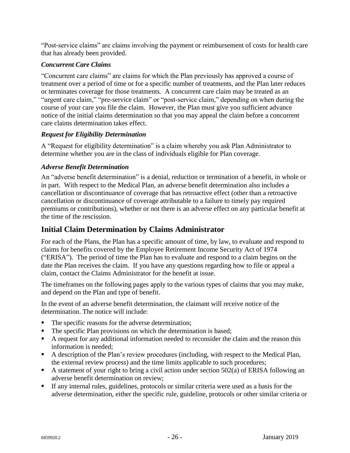"Post-service claims" are claims involving the payment or reimbursement of costs for health care that has already been provided.

#### *Concurrent Care Claims*

"Concurrent care claims" are claims for which the Plan previously has approved a course of treatment over a period of time or for a specific number of treatments, and the Plan later reduces or terminates coverage for those treatments. A concurrent care claim may be treated as an "urgent care claim," "pre-service claim" or "post-service claim," depending on when during the course of your care you file the claim. However, the Plan must give you sufficient advance notice of the initial claims determination so that you may appeal the claim before a concurrent care claims determination takes effect.

#### *Request for Eligibility Determination*

A "Request for eligibility determination" is a claim whereby you ask Plan Administrator to determine whether you are in the class of individuals eligible for Plan coverage.

#### *Adverse Benefit Determination*

An "adverse benefit determination" is a denial, reduction or termination of a benefit, in whole or in part. With respect to the Medical Plan, an adverse benefit determination also includes a cancellation or discontinuance of coverage that has retroactive effect (other than a retroactive cancellation or discontinuance of coverage attributable to a failure to timely pay required premiums or contributions), whether or not there is an adverse effect on any particular benefit at the time of the rescission.

### <span id="page-28-0"></span>**Initial Claim Determination by Claims Administrator**

For each of the Plans, the Plan has a specific amount of time, by law, to evaluate and respond to claims for benefits covered by the Employee Retirement Income Security Act of 1974 ("ERISA"). The period of time the Plan has to evaluate and respond to a claim begins on the date the Plan receives the claim. If you have any questions regarding how to file or appeal a claim, contact the Claims Administrator for the benefit at issue.

The timeframes on the following pages apply to the various types of claims that you may make, and depend on the Plan and type of benefit.

In the event of an adverse benefit determination, the claimant will receive notice of the determination. The notice will include:

- The specific reasons for the adverse determination;
- The specific Plan provisions on which the determination is based;
- A request for any additional information needed to reconsider the claim and the reason this information is needed;
- A description of the Plan's review procedures (including, with respect to the Medical Plan, the external review process) and the time limits applicable to such procedures;
- A statement of your right to bring a civil action under section 502(a) of ERISA following an adverse benefit determination on review;
- If any internal rules, guidelines, protocols or similar criteria were used as a basis for the adverse determination, either the specific rule, guideline, protocols or other similar criteria or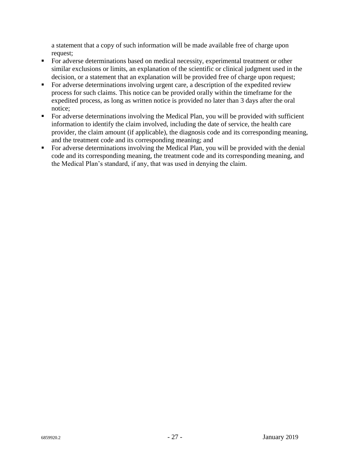a statement that a copy of such information will be made available free of charge upon request;

- For adverse determinations based on medical necessity, experimental treatment or other similar exclusions or limits, an explanation of the scientific or clinical judgment used in the decision, or a statement that an explanation will be provided free of charge upon request;
- For adverse determinations involving urgent care, a description of the expedited review process for such claims. This notice can be provided orally within the timeframe for the expedited process, as long as written notice is provided no later than 3 days after the oral notice;
- For adverse determinations involving the Medical Plan, you will be provided with sufficient information to identify the claim involved, including the date of service, the health care provider, the claim amount (if applicable), the diagnosis code and its corresponding meaning, and the treatment code and its corresponding meaning; and
- For adverse determinations involving the Medical Plan, you will be provided with the denial code and its corresponding meaning, the treatment code and its corresponding meaning, and the Medical Plan's standard, if any, that was used in denying the claim.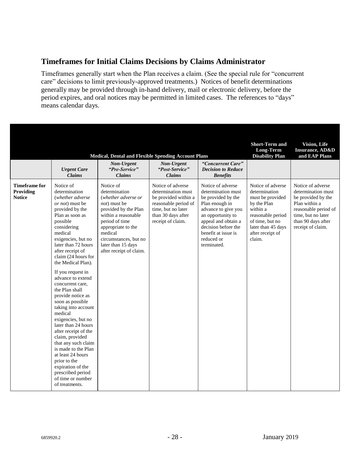## <span id="page-30-0"></span>**Timeframes for Initial Claims Decisions by Claims Administrator**

Timeframes generally start when the Plan receives a claim. (See the special rule for "concurrent care" decisions to limit previously-approved treatments.) Notices of benefit determinations generally may be provided through in-hand delivery, mail or electronic delivery, before the period expires, and oral notices may be permitted in limited cases. The references to "days" means calendar days.

|                                                    | <b>Urgent Care</b>                                                                                                                                                                                                                                                                                                                                                                                                                                                                                                                                                                                                                                                                                   | <b>Medical, Dental and Flexible Spending Account Plans</b><br>Non-Urgent<br>"Pre-Service"                                                                                                                                                                              | Non-Urgent<br>"Post-Service"                                                                                                                                       | "Concurrent Care"<br><b>Decision to Reduce</b>                                                                                                                                                                                                   | <b>Short-Term and</b><br>Long-Term<br><b>Disability Plan</b>                                                                                                                  | <b>Vision, Life</b><br><b>Insurance</b> , AD&D<br>and EAP Plans                                                                                                         |
|----------------------------------------------------|------------------------------------------------------------------------------------------------------------------------------------------------------------------------------------------------------------------------------------------------------------------------------------------------------------------------------------------------------------------------------------------------------------------------------------------------------------------------------------------------------------------------------------------------------------------------------------------------------------------------------------------------------------------------------------------------------|------------------------------------------------------------------------------------------------------------------------------------------------------------------------------------------------------------------------------------------------------------------------|--------------------------------------------------------------------------------------------------------------------------------------------------------------------|--------------------------------------------------------------------------------------------------------------------------------------------------------------------------------------------------------------------------------------------------|-------------------------------------------------------------------------------------------------------------------------------------------------------------------------------|-------------------------------------------------------------------------------------------------------------------------------------------------------------------------|
| <b>Timeframe for</b><br>Providing<br><b>Notice</b> | <b>Claims</b><br>Notice of<br>determination<br>(whether adverse)<br>or not) must be<br>provided by the<br>Plan as soon as<br>possible<br>considering<br>medical<br>exigencies, but no<br>later than 72 hours<br>after receipt of<br>claim (24 hours for<br>the Medical Plan).<br>If you request in<br>advance to extend<br>concurrent care,<br>the Plan shall<br>provide notice as<br>soon as possible<br>taking into account<br>medical<br>exigencies, but no<br>later than 24 hours<br>after receipt of the<br>claim, provided<br>that any such claim<br>is made to the Plan<br>at least 24 hours<br>prior to the<br>expiration of the<br>prescribed period<br>of time or number<br>of treatments. | <b>Claims</b><br>Notice of<br>determination<br>(whether adverse or<br><i>not</i> ) must be<br>provided by the Plan<br>within a reasonable<br>period of time<br>appropriate to the<br>medical<br>circumstances, but no<br>later than 15 days<br>after receipt of claim. | Claims<br>Notice of adverse<br>determination must<br>be provided within a<br>reasonable period of<br>time, but no later<br>than 30 days after<br>receipt of claim. | <b>Benefits</b><br>Notice of adverse<br>determination must<br>be provided by the<br>Plan enough in<br>advance to give you<br>an opportunity to<br>appeal and obtain a<br>decision before the<br>benefit at issue is<br>reduced or<br>terminated. | Notice of adverse<br>determination<br>must be provided<br>by the Plan<br>within a<br>reasonable period<br>of time, but no<br>later than 45 days<br>after receipt of<br>claim. | Notice of adverse<br>determination must<br>be provided by the<br>Plan within a<br>reasonable period of<br>time, but no later<br>than 90 days after<br>receipt of claim. |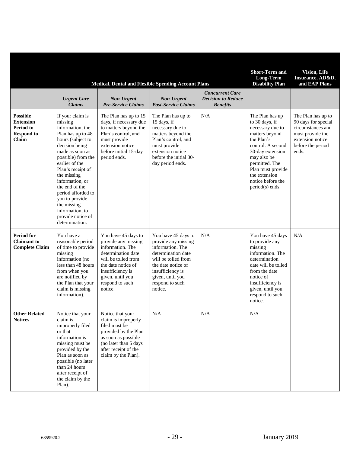|                                                                                       |                                                                                                                                                                                                                                                                                                                                                                  | <b>Medical, Dental and Flexible Spending Account Plans</b>                                                                                                                                              |                                                                                                                                                                                                         |                                                                        | <b>Short-Term and</b><br>Long-Term<br><b>Disability Plan</b>                                                                                                                                                                                  | Vision, Life<br>Insurance, AD&D,<br>and EAP Plans                                                                                    |
|---------------------------------------------------------------------------------------|------------------------------------------------------------------------------------------------------------------------------------------------------------------------------------------------------------------------------------------------------------------------------------------------------------------------------------------------------------------|---------------------------------------------------------------------------------------------------------------------------------------------------------------------------------------------------------|---------------------------------------------------------------------------------------------------------------------------------------------------------------------------------------------------------|------------------------------------------------------------------------|-----------------------------------------------------------------------------------------------------------------------------------------------------------------------------------------------------------------------------------------------|--------------------------------------------------------------------------------------------------------------------------------------|
|                                                                                       | <b>Urgent Care</b><br><b>Claims</b>                                                                                                                                                                                                                                                                                                                              | Non-Urgent<br><b>Pre-Service Claims</b>                                                                                                                                                                 | Non-Urgent<br><b>Post-Service Claims</b>                                                                                                                                                                | <b>Concurrent Care</b><br><b>Decision to Reduce</b><br><b>Benefits</b> |                                                                                                                                                                                                                                               |                                                                                                                                      |
| <b>Possible</b><br><b>Extension</b><br><b>Period to</b><br><b>Respond to</b><br>Claim | If your claim is<br>missing<br>information, the<br>Plan has up to 48<br>hours (subject to<br>decision being<br>made as soon as<br>possible) from the<br>earlier of the<br>Plan's receipt of<br>the missing<br>information, or<br>the end of the<br>period afforded to<br>you to provide<br>the missing<br>information, to<br>provide notice of<br>determination. | The Plan has up to 15<br>days, if necessary due<br>to matters beyond the<br>Plan's control, and<br>must provide<br>extension notice<br>before initial 15-day<br>period ends.                            | The Plan has up to<br>15 days, if<br>necessary due to<br>matters beyond the<br>Plan's control, and<br>must provide<br>extension notice<br>before the initial 30-<br>day period ends.                    | N/A                                                                    | The Plan has up<br>to 30 days, if<br>necessary due to<br>matters beyond<br>the Plan's<br>control. A second<br>30-day extension<br>may also be<br>permitted. The<br>Plan must provide<br>the extension<br>notice before the<br>period(s) ends. | The Plan has up to<br>90 days for special<br>circumstances and<br>must provide the<br>extension notice<br>before the period<br>ends. |
| <b>Period for</b><br><b>Claimant</b> to<br><b>Complete Claim</b>                      | You have a<br>reasonable period<br>of time to provide<br>missing<br>information (no<br>less than 48 hours<br>from when you<br>are notified by<br>the Plan that your<br>claim is missing<br>information).                                                                                                                                                         | You have 45 days to<br>provide any missing<br>information. The<br>determination date<br>will be tolled from<br>the date notice of<br>insufficiency is<br>given, until you<br>respond to such<br>notice. | You have 45 days to<br>provide any missing<br>information. The<br>determination date<br>will be tolled from<br>the date notice of<br>insufficiency is<br>given, until you<br>respond to such<br>notice. | N/A                                                                    | You have 45 days<br>to provide any<br>missing<br>information. The<br>determination<br>date will be tolled<br>from the date<br>notice of<br>insufficiency is<br>given, until you<br>respond to such<br>notice.                                 | N/A                                                                                                                                  |
| <b>Other Related</b><br><b>Notices</b>                                                | Notice that your<br>claim is<br>improperly filed<br>or that<br>information is<br>missing must be<br>provided by the<br>Plan as soon as<br>possible (no later<br>than 24 hours<br>after receipt of<br>the claim by the<br>Plan).                                                                                                                                  | Notice that your<br>claim is improperly<br>filed must be<br>provided by the Plan<br>as soon as possible<br>(no later than 5 days<br>after receipt of the<br>claim by the Plan).                         | N/A                                                                                                                                                                                                     | N/A                                                                    | N/A                                                                                                                                                                                                                                           |                                                                                                                                      |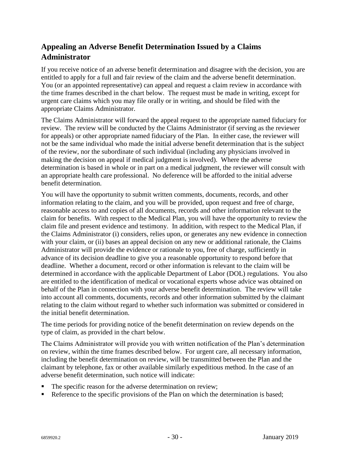## <span id="page-32-0"></span>**Appealing an Adverse Benefit Determination Issued by a Claims Administrator**

If you receive notice of an adverse benefit determination and disagree with the decision, you are entitled to apply for a full and fair review of the claim and the adverse benefit determination. You (or an appointed representative) can appeal and request a claim review in accordance with the time frames described in the chart below. The request must be made in writing, except for urgent care claims which you may file orally or in writing, and should be filed with the appropriate Claims Administrator.

The Claims Administrator will forward the appeal request to the appropriate named fiduciary for review. The review will be conducted by the Claims Administrator (if serving as the reviewer for appeals) or other appropriate named fiduciary of the Plan. In either case, the reviewer will not be the same individual who made the initial adverse benefit determination that is the subject of the review, nor the subordinate of such individual (including any physicians involved in making the decision on appeal if medical judgment is involved). Where the adverse determination is based in whole or in part on a medical judgment, the reviewer will consult with an appropriate health care professional. No deference will be afforded to the initial adverse benefit determination.

You will have the opportunity to submit written comments, documents, records, and other information relating to the claim, and you will be provided, upon request and free of charge, reasonable access to and copies of all documents, records and other information relevant to the claim for benefits. With respect to the Medical Plan, you will have the opportunity to review the claim file and present evidence and testimony. In addition, with respect to the Medical Plan, if the Claims Administrator (i) considers, relies upon, or generates any new evidence in connection with your claim, or (ii) bases an appeal decision on any new or additional rationale, the Claims Administrator will provide the evidence or rationale to you, free of charge, sufficiently in advance of its decision deadline to give you a reasonable opportunity to respond before that deadline. Whether a document, record or other information is relevant to the claim will be determined in accordance with the applicable Department of Labor (DOL) regulations. You also are entitled to the identification of medical or vocational experts whose advice was obtained on behalf of the Plan in connection with your adverse benefit determination. The review will take into account all comments, documents, records and other information submitted by the claimant relating to the claim without regard to whether such information was submitted or considered in the initial benefit determination.

The time periods for providing notice of the benefit determination on review depends on the type of claim, as provided in the chart below.

The Claims Administrator will provide you with written notification of the Plan's determination on review, within the time frames described below. For urgent care, all necessary information, including the benefit determination on review, will be transmitted between the Plan and the claimant by telephone, fax or other available similarly expeditious method. In the case of an adverse benefit determination, such notice will indicate:

- The specific reason for the adverse determination on review;
- Reference to the specific provisions of the Plan on which the determination is based;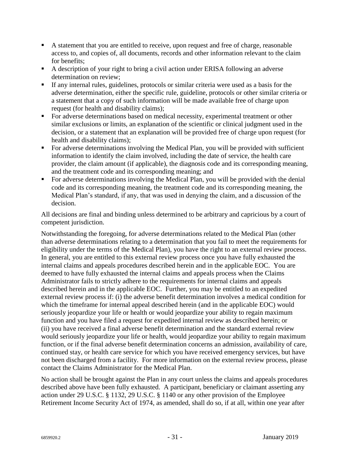- A statement that you are entitled to receive, upon request and free of charge, reasonable access to, and copies of, all documents, records and other information relevant to the claim for benefits;
- A description of your right to bring a civil action under ERISA following an adverse determination on review;
- If any internal rules, guidelines, protocols or similar criteria were used as a basis for the adverse determination, either the specific rule, guideline, protocols or other similar criteria or a statement that a copy of such information will be made available free of charge upon request (for health and disability claims);
- For adverse determinations based on medical necessity, experimental treatment or other similar exclusions or limits, an explanation of the scientific or clinical judgment used in the decision, or a statement that an explanation will be provided free of charge upon request (for health and disability claims);
- For adverse determinations involving the Medical Plan, you will be provided with sufficient information to identify the claim involved, including the date of service, the health care provider, the claim amount (if applicable), the diagnosis code and its corresponding meaning, and the treatment code and its corresponding meaning; and
- For adverse determinations involving the Medical Plan, you will be provided with the denial code and its corresponding meaning, the treatment code and its corresponding meaning, the Medical Plan's standard, if any, that was used in denying the claim, and a discussion of the decision.

All decisions are final and binding unless determined to be arbitrary and capricious by a court of competent jurisdiction.

Notwithstanding the foregoing, for adverse determinations related to the Medical Plan (other than adverse determinations relating to a determination that you fail to meet the requirements for eligibility under the terms of the Medical Plan), you have the right to an external review process. In general, you are entitled to this external review process once you have fully exhausted the internal claims and appeals procedures described herein and in the applicable EOC. You are deemed to have fully exhausted the internal claims and appeals process when the Claims Administrator fails to strictly adhere to the requirements for internal claims and appeals described herein and in the applicable EOC. Further, you may be entitled to an expedited external review process if: (i) the adverse benefit determination involves a medical condition for which the timeframe for internal appeal described herein (and in the applicable EOC) would seriously jeopardize your life or health or would jeopardize your ability to regain maximum function and you have filed a request for expedited internal review as described herein; or (ii) you have received a final adverse benefit determination and the standard external review would seriously jeopardize your life or health, would jeopardize your ability to regain maximum function, or if the final adverse benefit determination concerns an admission, availability of care, continued stay, or health care service for which you have received emergency services, but have not been discharged from a facility. For more information on the external review process, please contact the Claims Administrator for the Medical Plan.

No action shall be brought against the Plan in any court unless the claims and appeals procedures described above have been fully exhausted. A participant, beneficiary or claimant asserting any action under 29 U.S.C. § 1132, 29 U.S.C. § 1140 or any other provision of the Employee Retirement Income Security Act of 1974, as amended, shall do so, if at all, within one year after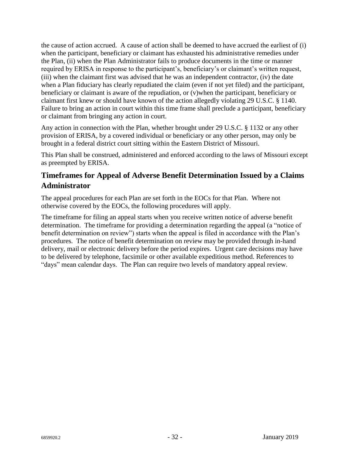the cause of action accrued. A cause of action shall be deemed to have accrued the earliest of (i) when the participant, beneficiary or claimant has exhausted his administrative remedies under the Plan, (ii) when the Plan Administrator fails to produce documents in the time or manner required by ERISA in response to the participant's, beneficiary's or claimant's written request, (iii) when the claimant first was advised that he was an independent contractor, (iv) the date when a Plan fiduciary has clearly repudiated the claim (even if not yet filed) and the participant, beneficiary or claimant is aware of the repudiation, or (v)when the participant, beneficiary or claimant first knew or should have known of the action allegedly violating 29 U.S.C. § 1140. Failure to bring an action in court within this time frame shall preclude a participant, beneficiary or claimant from bringing any action in court.

Any action in connection with the Plan, whether brought under 29 U.S.C. § 1132 or any other provision of ERISA, by a covered individual or beneficiary or any other person, may only be brought in a federal district court sitting within the Eastern District of Missouri.

This Plan shall be construed, administered and enforced according to the laws of Missouri except as preempted by ERISA.

## <span id="page-34-0"></span>**Timeframes for Appeal of Adverse Benefit Determination Issued by a Claims Administrator**

The appeal procedures for each Plan are set forth in the EOCs for that Plan. Where not otherwise covered by the EOCs, the following procedures will apply.

The timeframe for filing an appeal starts when you receive written notice of adverse benefit determination. The timeframe for providing a determination regarding the appeal (a "notice of benefit determination on review") starts when the appeal is filed in accordance with the Plan's procedures. The notice of benefit determination on review may be provided through in-hand delivery, mail or electronic delivery before the period expires. Urgent care decisions may have to be delivered by telephone, facsimile or other available expeditious method. References to "days" mean calendar days. The Plan can require two levels of mandatory appeal review.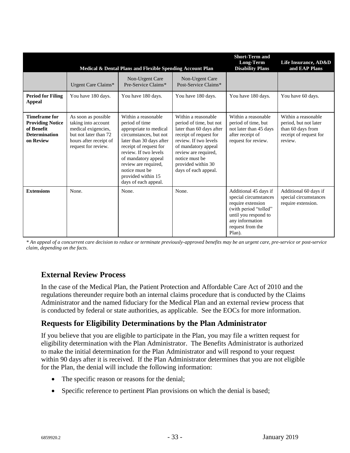|                                                                                                    |                                                                                                                                             | Medical & Dental Plans and Flexible Spending Account Plan                                                                                                                                                                                                                               |                                                                                                                                                                                                                                              | <b>Short-Term and</b><br>Long-Term<br><b>Disability Plans</b>                                                                                                         | Life Insurance, AD&D<br>and EAP Plans                                                                  |
|----------------------------------------------------------------------------------------------------|---------------------------------------------------------------------------------------------------------------------------------------------|-----------------------------------------------------------------------------------------------------------------------------------------------------------------------------------------------------------------------------------------------------------------------------------------|----------------------------------------------------------------------------------------------------------------------------------------------------------------------------------------------------------------------------------------------|-----------------------------------------------------------------------------------------------------------------------------------------------------------------------|--------------------------------------------------------------------------------------------------------|
|                                                                                                    | Urgent Care Claims*                                                                                                                         | Non-Urgent Care<br>Pre-Service Claims*                                                                                                                                                                                                                                                  | Non-Urgent Care<br>Post-Service Claims*                                                                                                                                                                                                      |                                                                                                                                                                       |                                                                                                        |
| <b>Period for Filing</b><br><b>Appeal</b>                                                          | You have 180 days.                                                                                                                          | You have 180 days.                                                                                                                                                                                                                                                                      | You have 180 days.                                                                                                                                                                                                                           | You have 180 days.                                                                                                                                                    | You have 60 days.                                                                                      |
| <b>Timeframe for</b><br><b>Providing Notice</b><br>of Benefit<br><b>Determination</b><br>on Review | As soon as possible<br>taking into account<br>medical exigencies,<br>but not later than 72<br>hours after receipt of<br>request for review. | Within a reasonable<br>period of time<br>appropriate to medical<br>circumstances, but not<br>later than 30 days after<br>receipt of request for<br>review. If two levels<br>of mandatory appeal<br>review are required,<br>notice must be<br>provided within 15<br>days of each appeal. | Within a reasonable<br>period of time, but not<br>later than 60 days after<br>receipt of request for<br>review. If two levels<br>of mandatory appeal<br>review are required,<br>notice must be<br>provided within 30<br>days of each appeal. | Within a reasonable<br>period of time, but<br>not later than 45 days<br>after receipt of<br>request for review.                                                       | Within a reasonable<br>period, but not later<br>than 60 days from<br>receipt of request for<br>review. |
| <b>Extensions</b>                                                                                  | None.                                                                                                                                       | None.                                                                                                                                                                                                                                                                                   | None.                                                                                                                                                                                                                                        | Additional 45 days if<br>special circumstances<br>require extension<br>(with period "tolled"<br>until you respond to<br>any information<br>request from the<br>Plan). | Additional 60 days if<br>special circumstances<br>require extension.                                   |

*\* An appeal of a concurrent care decision to reduce or terminate previously-approved benefits may be an urgent care, pre-service or post-service claim, depending on the facts.* 

## <span id="page-35-0"></span>**External Review Process**

In the case of the Medical Plan, the Patient Protection and Affordable Care Act of 2010 and the regulations thereunder require both an internal claims procedure that is conducted by the Claims Administrator and the named fiduciary for the Medical Plan and an external review process that is conducted by federal or state authorities, as applicable. See the EOCs for more information.

## <span id="page-35-1"></span>**Requests for Eligibility Determinations by the Plan Administrator**

If you believe that you are eligible to participate in the Plan, you may file a written request for eligibility determination with the Plan Administrator. The Benefits Administrator is authorized to make the initial determination for the Plan Administrator and will respond to your request within 90 days after it is received. If the Plan Administrator determines that you are not eligible for the Plan, the denial will include the following information:

- The specific reason or reasons for the denial;
- Specific reference to pertinent Plan provisions on which the denial is based;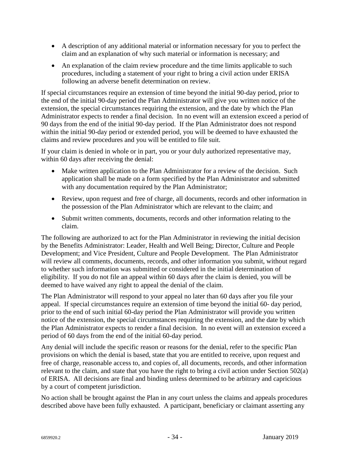- A description of any additional material or information necessary for you to perfect the claim and an explanation of why such material or information is necessary; and
- An explanation of the claim review procedure and the time limits applicable to such procedures, including a statement of your right to bring a civil action under ERISA following an adverse benefit determination on review.

If special circumstances require an extension of time beyond the initial 90-day period, prior to the end of the initial 90-day period the Plan Administrator will give you written notice of the extension, the special circumstances requiring the extension, and the date by which the Plan Administrator expects to render a final decision. In no event will an extension exceed a period of 90 days from the end of the initial 90-day period. If the Plan Administrator does not respond within the initial 90-day period or extended period, you will be deemed to have exhausted the claims and review procedures and you will be entitled to file suit.

If your claim is denied in whole or in part, you or your duly authorized representative may, within 60 days after receiving the denial:

- Make written application to the Plan Administrator for a review of the decision. Such application shall be made on a form specified by the Plan Administrator and submitted with any documentation required by the Plan Administrator;
- Review, upon request and free of charge, all documents, records and other information in the possession of the Plan Administrator which are relevant to the claim; and
- Submit written comments, documents, records and other information relating to the claim.

The following are authorized to act for the Plan Administrator in reviewing the initial decision by the Benefits Administrator: Leader, Health and Well Being; Director, Culture and People Development; and Vice President, Culture and People Development. The Plan Administrator will review all comments, documents, records, and other information you submit, without regard to whether such information was submitted or considered in the initial determination of eligibility. If you do not file an appeal within 60 days after the claim is denied, you will be deemed to have waived any right to appeal the denial of the claim.

The Plan Administrator will respond to your appeal no later than 60 days after you file your appeal. If special circumstances require an extension of time beyond the initial 60- day period, prior to the end of such initial 60-day period the Plan Administrator will provide you written notice of the extension, the special circumstances requiring the extension, and the date by which the Plan Administrator expects to render a final decision. In no event will an extension exceed a period of 60 days from the end of the initial 60-day period.

Any denial will include the specific reason or reasons for the denial, refer to the specific Plan provisions on which the denial is based, state that you are entitled to receive, upon request and free of charge, reasonable access to, and copies of, all documents, records, and other information relevant to the claim, and state that you have the right to bring a civil action under Section 502(a) of ERISA. All decisions are final and binding unless determined to be arbitrary and capricious by a court of competent jurisdiction.

No action shall be brought against the Plan in any court unless the claims and appeals procedures described above have been fully exhausted. A participant, beneficiary or claimant asserting any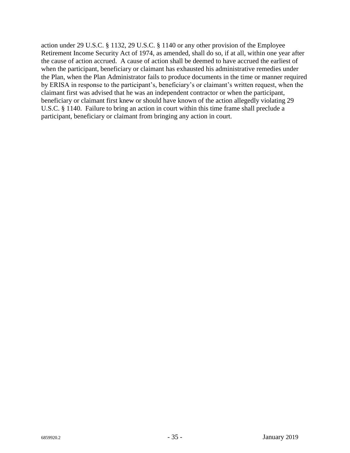action under 29 U.S.C. § 1132, 29 U.S.C. § 1140 or any other provision of the Employee Retirement Income Security Act of 1974, as amended, shall do so, if at all, within one year after the cause of action accrued. A cause of action shall be deemed to have accrued the earliest of when the participant, beneficiary or claimant has exhausted his administrative remedies under the Plan, when the Plan Administrator fails to produce documents in the time or manner required by ERISA in response to the participant's, beneficiary's or claimant's written request, when the claimant first was advised that he was an independent contractor or when the participant, beneficiary or claimant first knew or should have known of the action allegedly violating 29 U.S.C. § 1140. Failure to bring an action in court within this time frame shall preclude a participant, beneficiary or claimant from bringing any action in court.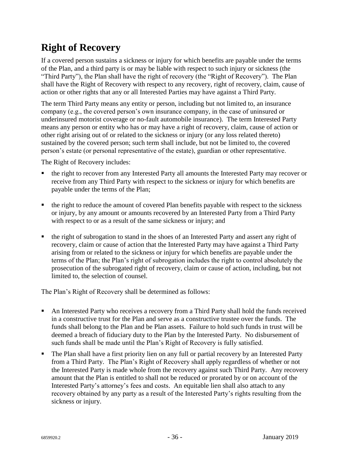## <span id="page-38-0"></span>**Right of Recovery**

If a covered person sustains a sickness or injury for which benefits are payable under the terms of the Plan, and a third party is or may be liable with respect to such injury or sickness (the "Third Party"), the Plan shall have the right of recovery (the "Right of Recovery"). The Plan shall have the Right of Recovery with respect to any recovery, right of recovery, claim, cause of action or other rights that any or all Interested Parties may have against a Third Party.

The term Third Party means any entity or person, including but not limited to, an insurance company (e.g., the covered person's own insurance company, in the case of uninsured or underinsured motorist coverage or no-fault automobile insurance). The term Interested Party means any person or entity who has or may have a right of recovery, claim, cause of action or other right arising out of or related to the sickness or injury (or any loss related thereto) sustained by the covered person; such term shall include, but not be limited to, the covered person's estate (or personal representative of the estate), guardian or other representative.

The Right of Recovery includes:

- the right to recover from any Interested Party all amounts the Interested Party may recover or receive from any Third Party with respect to the sickness or injury for which benefits are payable under the terms of the Plan;
- the right to reduce the amount of covered Plan benefits payable with respect to the sickness or injury, by any amount or amounts recovered by an Interested Party from a Third Party with respect to or as a result of the same sickness or injury; and
- the right of subrogation to stand in the shoes of an Interested Party and assert any right of recovery, claim or cause of action that the Interested Party may have against a Third Party arising from or related to the sickness or injury for which benefits are payable under the terms of the Plan; the Plan's right of subrogation includes the right to control absolutely the prosecution of the subrogated right of recovery, claim or cause of action, including, but not limited to, the selection of counsel.

The Plan's Right of Recovery shall be determined as follows:

- An Interested Party who receives a recovery from a Third Party shall hold the funds received in a constructive trust for the Plan and serve as a constructive trustee over the funds. The funds shall belong to the Plan and be Plan assets. Failure to hold such funds in trust will be deemed a breach of fiduciary duty to the Plan by the Interested Party. No disbursement of such funds shall be made until the Plan's Right of Recovery is fully satisfied.
- The Plan shall have a first priority lien on any full or partial recovery by an Interested Party from a Third Party. The Plan's Right of Recovery shall apply regardless of whether or not the Interested Party is made whole from the recovery against such Third Party. Any recovery amount that the Plan is entitled to shall not be reduced or prorated by or on account of the Interested Party's attorney's fees and costs. An equitable lien shall also attach to any recovery obtained by any party as a result of the Interested Party's rights resulting from the sickness or injury.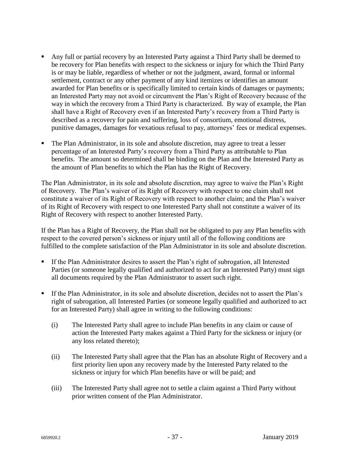- Any full or partial recovery by an Interested Party against a Third Party shall be deemed to be recovery for Plan benefits with respect to the sickness or injury for which the Third Party is or may be liable, regardless of whether or not the judgment, award, formal or informal settlement, contract or any other payment of any kind itemizes or identifies an amount awarded for Plan benefits or is specifically limited to certain kinds of damages or payments; an Interested Party may not avoid or circumvent the Plan's Right of Recovery because of the way in which the recovery from a Third Party is characterized. By way of example, the Plan shall have a Right of Recovery even if an Interested Party's recovery from a Third Party is described as a recovery for pain and suffering, loss of consortium, emotional distress, punitive damages, damages for vexatious refusal to pay, attorneys' fees or medical expenses.
- The Plan Administrator, in its sole and absolute discretion, may agree to treat a lesser percentage of an Interested Party's recovery from a Third Party as attributable to Plan benefits. The amount so determined shall be binding on the Plan and the Interested Party as the amount of Plan benefits to which the Plan has the Right of Recovery.

The Plan Administrator, in its sole and absolute discretion, may agree to waive the Plan's Right of Recovery. The Plan's waiver of its Right of Recovery with respect to one claim shall not constitute a waiver of its Right of Recovery with respect to another claim; and the Plan's waiver of its Right of Recovery with respect to one Interested Party shall not constitute a waiver of its Right of Recovery with respect to another Interested Party.

If the Plan has a Right of Recovery, the Plan shall not be obligated to pay any Plan benefits with respect to the covered person's sickness or injury until all of the following conditions are fulfilled to the complete satisfaction of the Plan Administrator in its sole and absolute discretion.

- **•** If the Plan Administrator desires to assert the Plan's right of subrogation, all Interested Parties (or someone legally qualified and authorized to act for an Interested Party) must sign all documents required by the Plan Administrator to assert such right.
- If the Plan Administrator, in its sole and absolute discretion, decides not to assert the Plan's right of subrogation, all Interested Parties (or someone legally qualified and authorized to act for an Interested Party) shall agree in writing to the following conditions:
	- (i) The Interested Party shall agree to include Plan benefits in any claim or cause of action the Interested Party makes against a Third Party for the sickness or injury (or any loss related thereto);
	- (ii) The Interested Party shall agree that the Plan has an absolute Right of Recovery and a first priority lien upon any recovery made by the Interested Party related to the sickness or injury for which Plan benefits have or will be paid; and
	- (iii) The Interested Party shall agree not to settle a claim against a Third Party without prior written consent of the Plan Administrator.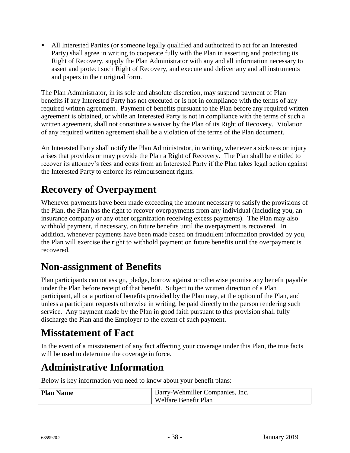All Interested Parties (or someone legally qualified and authorized to act for an Interested Party) shall agree in writing to cooperate fully with the Plan in asserting and protecting its Right of Recovery, supply the Plan Administrator with any and all information necessary to assert and protect such Right of Recovery, and execute and deliver any and all instruments and papers in their original form.

The Plan Administrator, in its sole and absolute discretion, may suspend payment of Plan benefits if any Interested Party has not executed or is not in compliance with the terms of any required written agreement. Payment of benefits pursuant to the Plan before any required written agreement is obtained, or while an Interested Party is not in compliance with the terms of such a written agreement, shall not constitute a waiver by the Plan of its Right of Recovery. Violation of any required written agreement shall be a violation of the terms of the Plan document.

An Interested Party shall notify the Plan Administrator, in writing, whenever a sickness or injury arises that provides or may provide the Plan a Right of Recovery. The Plan shall be entitled to recover its attorney's fees and costs from an Interested Party if the Plan takes legal action against the Interested Party to enforce its reimbursement rights.

## <span id="page-40-0"></span>**Recovery of Overpayment**

Whenever payments have been made exceeding the amount necessary to satisfy the provisions of the Plan, the Plan has the right to recover overpayments from any individual (including you, an insurance company or any other organization receiving excess payments). The Plan may also withhold payment, if necessary, on future benefits until the overpayment is recovered. In addition, whenever payments have been made based on fraudulent information provided by you, the Plan will exercise the right to withhold payment on future benefits until the overpayment is recovered.

## <span id="page-40-1"></span>**Non-assignment of Benefits**

Plan participants cannot assign, pledge, borrow against or otherwise promise any benefit payable under the Plan before receipt of that benefit. Subject to the written direction of a Plan participant, all or a portion of benefits provided by the Plan may, at the option of the Plan, and unless a participant requests otherwise in writing, be paid directly to the person rendering such service. Any payment made by the Plan in good faith pursuant to this provision shall fully discharge the Plan and the Employer to the extent of such payment.

## <span id="page-40-2"></span>**Misstatement of Fact**

In the event of a misstatement of any fact affecting your coverage under this Plan, the true facts will be used to determine the coverage in force.

## <span id="page-40-3"></span>**Administrative Information**

Below is key information you need to know about your benefit plans:

| <b>Plan Name</b> | Barry-Wehmiller Companies, Inc. |
|------------------|---------------------------------|
|                  | Welfare Benefit Plan            |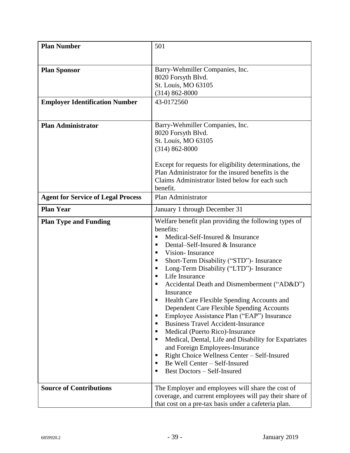| <b>Plan Number</b>                        | 501                                                                                                           |
|-------------------------------------------|---------------------------------------------------------------------------------------------------------------|
|                                           |                                                                                                               |
| <b>Plan Sponsor</b>                       | Barry-Wehmiller Companies, Inc.                                                                               |
|                                           | 8020 Forsyth Blvd.                                                                                            |
|                                           | St. Louis, MO 63105                                                                                           |
|                                           | $(314) 862 - 8000$                                                                                            |
| <b>Employer Identification Number</b>     | 43-0172560                                                                                                    |
|                                           |                                                                                                               |
| <b>Plan Administrator</b>                 | Barry-Wehmiller Companies, Inc.                                                                               |
|                                           | 8020 Forsyth Blvd.                                                                                            |
|                                           | St. Louis, MO 63105                                                                                           |
|                                           | $(314) 862 - 8000$                                                                                            |
|                                           |                                                                                                               |
|                                           | Except for requests for eligibility determinations, the<br>Plan Administrator for the insured benefits is the |
|                                           | Claims Administrator listed below for each such                                                               |
|                                           | benefit.                                                                                                      |
| <b>Agent for Service of Legal Process</b> | Plan Administrator                                                                                            |
| <b>Plan Year</b>                          | January 1 through December 31                                                                                 |
| <b>Plan Type and Funding</b>              | Welfare benefit plan providing the following types of                                                         |
|                                           | benefits:                                                                                                     |
|                                           | Medical-Self-Insured & Insurance                                                                              |
|                                           | Dental-Self-Insured & Insurance<br>п                                                                          |
|                                           | Vision-Insurance<br>$\blacksquare$                                                                            |
|                                           | Short-Term Disability ("STD")- Insurance<br>п                                                                 |
|                                           | Long-Term Disability ("LTD")- Insurance<br>п<br>Life Insurance<br>п                                           |
|                                           | Accidental Death and Dismemberment ("AD&D")                                                                   |
|                                           | Insurance                                                                                                     |
|                                           | Health Care Flexible Spending Accounts and<br>п                                                               |
|                                           | Dependent Care Flexible Spending Accounts                                                                     |
|                                           | Employee Assistance Plan ("EAP") Insurance<br>п                                                               |
|                                           | <b>Business Travel Accident-Insurance</b><br>п                                                                |
|                                           | Medical (Puerto Rico)-Insurance<br>п                                                                          |
|                                           | Medical, Dental, Life and Disability for Expatriates<br>Е                                                     |
|                                           | and Foreign Employees-Insurance                                                                               |
|                                           | Right Choice Wellness Center - Self-Insured<br>п                                                              |
|                                           | Be Well Center - Self-Insured<br>п                                                                            |
|                                           | <b>Best Doctors - Self-Insured</b><br>п                                                                       |
| <b>Source of Contributions</b>            | The Employer and employees will share the cost of                                                             |
|                                           | coverage, and current employees will pay their share of                                                       |
|                                           | that cost on a pre-tax basis under a cafeteria plan.                                                          |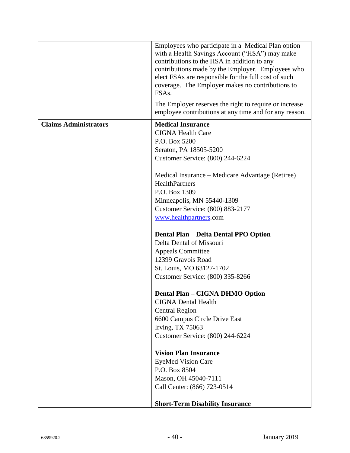|                              | Employees who participate in a Medical Plan option<br>with a Health Savings Account ("HSA") may make<br>contributions to the HSA in addition to any<br>contributions made by the Employer. Employees who<br>elect FSAs are responsible for the full cost of such<br>coverage. The Employer makes no contributions to<br>FSA <sub>s</sub> . |
|------------------------------|--------------------------------------------------------------------------------------------------------------------------------------------------------------------------------------------------------------------------------------------------------------------------------------------------------------------------------------------|
|                              | The Employer reserves the right to require or increase<br>employee contributions at any time and for any reason.                                                                                                                                                                                                                           |
| <b>Claims Administrators</b> | <b>Medical Insurance</b><br><b>CIGNA Health Care</b><br>P.O. Box 5200<br>Seraton, PA 18505-5200<br>Customer Service: (800) 244-6224                                                                                                                                                                                                        |
|                              | Medical Insurance – Medicare Advantage (Retiree)<br>HealthPartners<br>P.O. Box 1309<br>Minneapolis, MN 55440-1309<br>Customer Service: (800) 883-2177<br>www.healthpartners.com                                                                                                                                                            |
|                              | Dental Plan - Delta Dental PPO Option<br>Delta Dental of Missouri<br><b>Appeals Committee</b><br>12399 Gravois Road<br>St. Louis, MO 63127-1702<br>Customer Service: (800) 335-8266                                                                                                                                                        |
|                              | Dental Plan - CIGNA DHMO Option<br><b>CIGNA Dental Health</b><br><b>Central Region</b><br>6600 Campus Circle Drive East<br><b>Irving, TX 75063</b><br>Customer Service: (800) 244-6224                                                                                                                                                     |
|                              | <b>Vision Plan Insurance</b><br><b>EyeMed Vision Care</b><br>P.O. Box 8504<br>Mason, OH 45040-7111<br>Call Center: (866) 723-0514                                                                                                                                                                                                          |
|                              | <b>Short-Term Disability Insurance</b>                                                                                                                                                                                                                                                                                                     |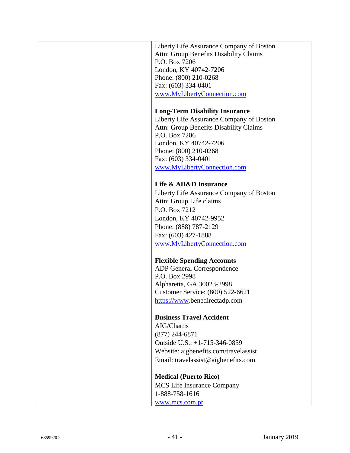Liberty Life Assurance Company of Boston Attn: Group Benefits Disability Claims P.O. Box 7206 London, KY 40742-7206 Phone: (800) 210-0268 Fax: (603) 334-0401 [www.MyLibertyConnection.com](http://www.mylibertyconnection.com/)

#### **Long-Term Disability Insurance**

Liberty Life Assurance Company of Boston Attn: Group Benefits Disability Claims P.O. Box 7206 London, KY 40742-7206 Phone: (800) 210-0268 Fax: (603) 334-0401 [www.MyLibertyConnection.com](http://www.mylibertyconnection.com/)

#### **Life & AD&D Insurance**

Liberty Life Assurance Company of Boston Attn: Group Life claims P.O. Box 7212 London, KY 40742-9952 Phone: (888) 787-2129 Fax: (603) 427-1888 [www.MyLibertyConnection.com](http://www.mylibertyconnection.com/)

#### **Flexible Spending Accounts**

ADP General Correspondence P.O. Box 2998 Alpharetta, GA 30023-2998 Customer Service: (800) 522-6621 [https://www.](https://www/)benedirectadp.com

#### **Business Travel Accident**

AIG/Chartis (877) 244-6871 Outside U.S.: +1-715-346-0859 Website: aigbenefits.com/travelassist Email: travelassist@aigbenefits.com

#### **Medical (Puerto Rico)** MCS Life Insurance Company 1-888-758-1616

[www.mcs.com.pr](http://www.mcs.com.pr/)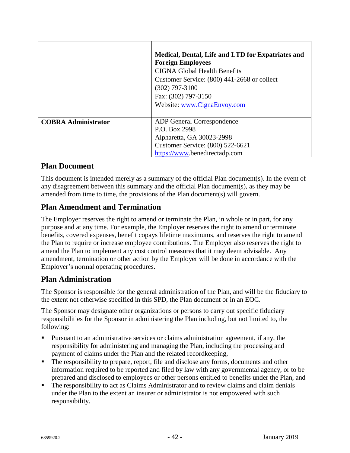|                            | Medical, Dental, Life and LTD for Expatriates and<br><b>Foreign Employees</b><br><b>CIGNA Global Health Benefits</b><br>Customer Service: (800) 441-2668 or collect<br>$(302)$ 797-3100<br>Fax: (302) 797-3150<br>Website: www.CignaEnvoy.com |
|----------------------------|-----------------------------------------------------------------------------------------------------------------------------------------------------------------------------------------------------------------------------------------------|
| <b>COBRA Administrator</b> | <b>ADP</b> General Correspondence<br>P.O. Box 2998                                                                                                                                                                                            |
|                            | Alpharetta, GA 30023-2998                                                                                                                                                                                                                     |
|                            | Customer Service: (800) 522-6621                                                                                                                                                                                                              |
|                            | https://www.benedirectadp.com                                                                                                                                                                                                                 |

### <span id="page-44-0"></span>**Plan Document**

This document is intended merely as a summary of the official Plan document(s). In the event of any disagreement between this summary and the official Plan document(s), as they may be amended from time to time, the provisions of the Plan document(s) will govern.

## <span id="page-44-1"></span>**Plan Amendment and Termination**

The Employer reserves the right to amend or terminate the Plan, in whole or in part, for any purpose and at any time. For example, the Employer reserves the right to amend or terminate benefits, covered expenses, benefit copays lifetime maximums, and reserves the right to amend the Plan to require or increase employee contributions. The Employer also reserves the right to amend the Plan to implement any cost control measures that it may deem advisable. Any amendment, termination or other action by the Employer will be done in accordance with the Employer's normal operating procedures.

### <span id="page-44-2"></span>**Plan Administration**

The Sponsor is responsible for the general administration of the Plan, and will be the fiduciary to the extent not otherwise specified in this SPD, the Plan document or in an EOC.

The Sponsor may designate other organizations or persons to carry out specific fiduciary responsibilities for the Sponsor in administering the Plan including, but not limited to, the following:

- Pursuant to an administrative services or claims administration agreement, if any, the responsibility for administering and managing the Plan, including the processing and payment of claims under the Plan and the related recordkeeping,
- The responsibility to prepare, report, file and disclose any forms, documents and other information required to be reported and filed by law with any governmental agency, or to be prepared and disclosed to employees or other persons entitled to benefits under the Plan, and
- The responsibility to act as Claims Administrator and to review claims and claim denials under the Plan to the extent an insurer or administrator is not empowered with such responsibility.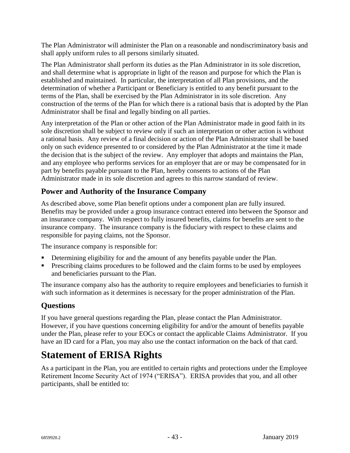The Plan Administrator will administer the Plan on a reasonable and nondiscriminatory basis and shall apply uniform rules to all persons similarly situated.

The Plan Administrator shall perform its duties as the Plan Administrator in its sole discretion, and shall determine what is appropriate in light of the reason and purpose for which the Plan is established and maintained. In particular, the interpretation of all Plan provisions, and the determination of whether a Participant or Beneficiary is entitled to any benefit pursuant to the terms of the Plan, shall be exercised by the Plan Administrator in its sole discretion. Any construction of the terms of the Plan for which there is a rational basis that is adopted by the Plan Administrator shall be final and legally binding on all parties.

Any interpretation of the Plan or other action of the Plan Administrator made in good faith in its sole discretion shall be subject to review only if such an interpretation or other action is without a rational basis. Any review of a final decision or action of the Plan Administrator shall be based only on such evidence presented to or considered by the Plan Administrator at the time it made the decision that is the subject of the review. Any employer that adopts and maintains the Plan, and any employee who performs services for an employer that are or may be compensated for in part by benefits payable pursuant to the Plan, hereby consents to actions of the Plan Administrator made in its sole discretion and agrees to this narrow standard of review.

## <span id="page-45-0"></span>**Power and Authority of the Insurance Company**

As described above, some Plan benefit options under a component plan are fully insured. Benefits may be provided under a group insurance contract entered into between the Sponsor and an insurance company. With respect to fully insured benefits, claims for benefits are sent to the insurance company. The insurance company is the fiduciary with respect to these claims and responsible for paying claims, not the Sponsor.

The insurance company is responsible for:

- Determining eligibility for and the amount of any benefits payable under the Plan.
- Prescribing claims procedures to be followed and the claim forms to be used by employees and beneficiaries pursuant to the Plan.

The insurance company also has the authority to require employees and beneficiaries to furnish it with such information as it determines is necessary for the proper administration of the Plan.

### <span id="page-45-1"></span>**Questions**

If you have general questions regarding the Plan, please contact the Plan Administrator. However, if you have questions concerning eligibility for and/or the amount of benefits payable under the Plan, please refer to your EOCs or contact the applicable Claims Administrator. If you have an ID card for a Plan, you may also use the contact information on the back of that card.

## <span id="page-45-2"></span>**Statement of ERISA Rights**

As a participant in the Plan, you are entitled to certain rights and protections under the Employee Retirement Income Security Act of 1974 ("ERISA"). ERISA provides that you, and all other participants, shall be entitled to: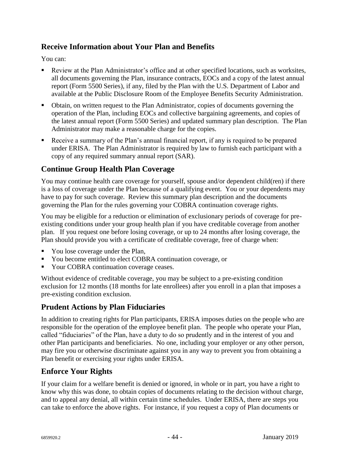## <span id="page-46-0"></span>**Receive Information about Your Plan and Benefits**

You can:

- **EXECUTE:** Review at the Plan Administrator's office and at other specified locations, such as worksites, all documents governing the Plan, insurance contracts, EOCs and a copy of the latest annual report (Form 5500 Series), if any, filed by the Plan with the U.S. Department of Labor and available at the Public Disclosure Room of the Employee Benefits Security Administration.
- Obtain, on written request to the Plan Administrator, copies of documents governing the operation of the Plan, including EOCs and collective bargaining agreements, and copies of the latest annual report (Form 5500 Series) and updated summary plan description. The Plan Administrator may make a reasonable charge for the copies.
- Receive a summary of the Plan's annual financial report, if any is required to be prepared under ERISA. The Plan Administrator is required by law to furnish each participant with a copy of any required summary annual report (SAR).

## <span id="page-46-1"></span>**Continue Group Health Plan Coverage**

You may continue health care coverage for yourself, spouse and/or dependent child(ren) if there is a loss of coverage under the Plan because of a qualifying event. You or your dependents may have to pay for such coverage. Review this summary plan description and the documents governing the Plan for the rules governing your COBRA continuation coverage rights.

You may be eligible for a reduction or elimination of exclusionary periods of coverage for preexisting conditions under your group health plan if you have creditable coverage from another plan. If you request one before losing coverage, or up to 24 months after losing coverage, the Plan should provide you with a certificate of creditable coverage, free of charge when:

- You lose coverage under the Plan,
- You become entitled to elect COBRA continuation coverage, or
- Your COBRA continuation coverage ceases.

Without evidence of creditable coverage, you may be subject to a pre-existing condition exclusion for 12 months (18 months for late enrollees) after you enroll in a plan that imposes a pre-existing condition exclusion.

### <span id="page-46-2"></span>**Prudent Actions by Plan Fiduciaries**

In addition to creating rights for Plan participants, ERISA imposes duties on the people who are responsible for the operation of the employee benefit plan. The people who operate your Plan, called "fiduciaries" of the Plan, have a duty to do so prudently and in the interest of you and other Plan participants and beneficiaries. No one, including your employer or any other person, may fire you or otherwise discriminate against you in any way to prevent you from obtaining a Plan benefit or exercising your rights under ERISA.

### <span id="page-46-3"></span>**Enforce Your Rights**

If your claim for a welfare benefit is denied or ignored, in whole or in part, you have a right to know why this was done, to obtain copies of documents relating to the decision without charge, and to appeal any denial, all within certain time schedules. Under ERISA, there are steps you can take to enforce the above rights. For instance, if you request a copy of Plan documents or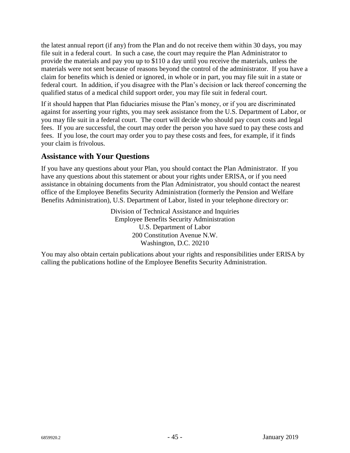the latest annual report (if any) from the Plan and do not receive them within 30 days, you may file suit in a federal court. In such a case, the court may require the Plan Administrator to provide the materials and pay you up to \$110 a day until you receive the materials, unless the materials were not sent because of reasons beyond the control of the administrator. If you have a claim for benefits which is denied or ignored, in whole or in part, you may file suit in a state or federal court. In addition, if you disagree with the Plan's decision or lack thereof concerning the qualified status of a medical child support order, you may file suit in federal court.

If it should happen that Plan fiduciaries misuse the Plan's money, or if you are discriminated against for asserting your rights, you may seek assistance from the U.S. Department of Labor, or you may file suit in a federal court. The court will decide who should pay court costs and legal fees. If you are successful, the court may order the person you have sued to pay these costs and fees. If you lose, the court may order you to pay these costs and fees, for example, if it finds your claim is frivolous.

### <span id="page-47-0"></span>**Assistance with Your Questions**

If you have any questions about your Plan, you should contact the Plan Administrator. If you have any questions about this statement or about your rights under ERISA, or if you need assistance in obtaining documents from the Plan Administrator, you should contact the nearest office of the Employee Benefits Security Administration (formerly the Pension and Welfare Benefits Administration), U.S. Department of Labor, listed in your telephone directory or:

> Division of Technical Assistance and Inquiries Employee Benefits Security Administration U.S. Department of Labor 200 Constitution Avenue N.W. Washington, D.C. 20210

You may also obtain certain publications about your rights and responsibilities under ERISA by calling the publications hotline of the Employee Benefits Security Administration.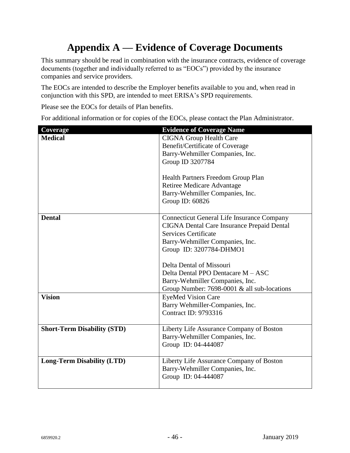## **Appendix A — Evidence of Coverage Documents**

<span id="page-48-0"></span>This summary should be read in combination with the insurance contracts, evidence of coverage documents (together and individually referred to as "EOCs") provided by the insurance companies and service providers.

The EOCs are intended to describe the Employer benefits available to you and, when read in conjunction with this SPD, are intended to meet ERISA's SPD requirements.

Please see the EOCs for details of Plan benefits.

For additional information or for copies of the EOCs, please contact the Plan Administrator.

| Coverage                           | <b>Evidence of Coverage Name</b>                  |
|------------------------------------|---------------------------------------------------|
| <b>Medical</b>                     | <b>CIGNA Group Health Care</b>                    |
|                                    | Benefit/Certificate of Coverage                   |
|                                    | Barry-Wehmiller Companies, Inc.                   |
|                                    | Group ID 3207784                                  |
|                                    |                                                   |
|                                    | Health Partners Freedom Group Plan                |
|                                    | Retiree Medicare Advantage                        |
|                                    | Barry-Wehmiller Companies, Inc.                   |
|                                    | Group ID: 60826                                   |
|                                    |                                                   |
| <b>Dental</b>                      | <b>Connecticut General Life Insurance Company</b> |
|                                    | <b>CIGNA Dental Care Insurance Prepaid Dental</b> |
|                                    | <b>Services Certificate</b>                       |
|                                    | Barry-Wehmiller Companies, Inc.                   |
|                                    | Group ID: 3207784-DHMO1                           |
|                                    |                                                   |
|                                    | Delta Dental of Missouri                          |
|                                    | Delta Dental PPO Dentacare M - ASC                |
|                                    | Barry-Wehmiller Companies, Inc.                   |
|                                    | Group Number: 7698-0001 & all sub-locations       |
| <b>Vision</b>                      | <b>EyeMed Vision Care</b>                         |
|                                    | Barry Wehmiller-Companies, Inc.                   |
|                                    | <b>Contract ID: 9793316</b>                       |
|                                    |                                                   |
| <b>Short-Term Disability (STD)</b> | Liberty Life Assurance Company of Boston          |
|                                    | Barry-Wehmiller Companies, Inc.                   |
|                                    | Group ID: 04-444087                               |
|                                    |                                                   |
| <b>Long-Term Disability (LTD)</b>  | Liberty Life Assurance Company of Boston          |
|                                    | Barry-Wehmiller Companies, Inc.                   |
|                                    | Group ID: 04-444087                               |
|                                    |                                                   |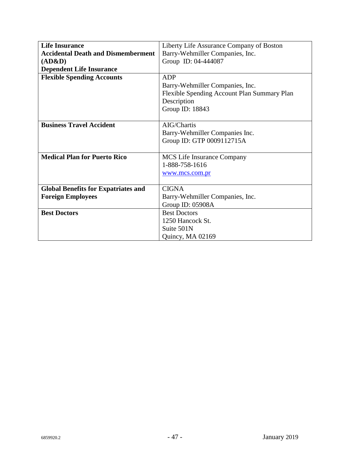| <b>Life Insurance</b>                      | Liberty Life Assurance Company of Boston    |
|--------------------------------------------|---------------------------------------------|
| <b>Accidental Death and Dismemberment</b>  | Barry-Wehmiller Companies, Inc.             |
| (AD&D)                                     | Group ID: 04-444087                         |
|                                            |                                             |
| <b>Dependent Life Insurance</b>            |                                             |
| <b>Flexible Spending Accounts</b>          | <b>ADP</b>                                  |
|                                            | Barry-Wehmiller Companies, Inc.             |
|                                            | Flexible Spending Account Plan Summary Plan |
|                                            | Description                                 |
|                                            | Group ID: 18843                             |
|                                            |                                             |
| <b>Business Travel Accident</b>            | AIG/Chartis                                 |
|                                            | Barry-Wehmiller Companies Inc.              |
|                                            | Group ID: GTP 0009112715A                   |
|                                            |                                             |
| <b>Medical Plan for Puerto Rico</b>        |                                             |
|                                            | <b>MCS</b> Life Insurance Company           |
|                                            | 1-888-758-1616                              |
|                                            | www.mcs.com.pr                              |
|                                            |                                             |
| <b>Global Benefits for Expatriates and</b> | <b>CIGNA</b>                                |
| <b>Foreign Employees</b>                   | Barry-Wehmiller Companies, Inc.             |
|                                            | Group ID: 05908A                            |
| <b>Best Doctors</b>                        | <b>Best Doctors</b>                         |
|                                            | 1250 Hancock St.                            |
|                                            | Suite 501N                                  |
|                                            | Quincy, MA 02169                            |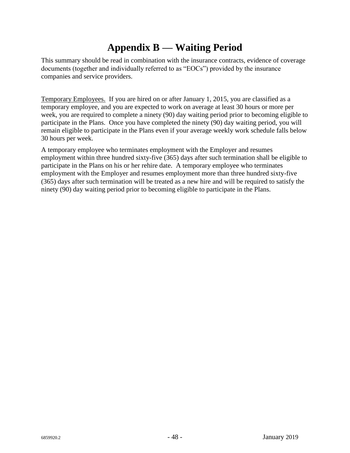## **Appendix B — Waiting Period**

<span id="page-50-0"></span>This summary should be read in combination with the insurance contracts, evidence of coverage documents (together and individually referred to as "EOCs") provided by the insurance companies and service providers.

Temporary Employees. If you are hired on or after January 1, 2015, you are classified as a temporary employee, and you are expected to work on average at least 30 hours or more per week, you are required to complete a ninety (90) day waiting period prior to becoming eligible to participate in the Plans. Once you have completed the ninety (90) day waiting period, you will remain eligible to participate in the Plans even if your average weekly work schedule falls below 30 hours per week.

A temporary employee who terminates employment with the Employer and resumes employment within three hundred sixty-five (365) days after such termination shall be eligible to participate in the Plans on his or her rehire date. A temporary employee who terminates employment with the Employer and resumes employment more than three hundred sixty-five (365) days after such termination will be treated as a new hire and will be required to satisfy the ninety (90) day waiting period prior to becoming eligible to participate in the Plans.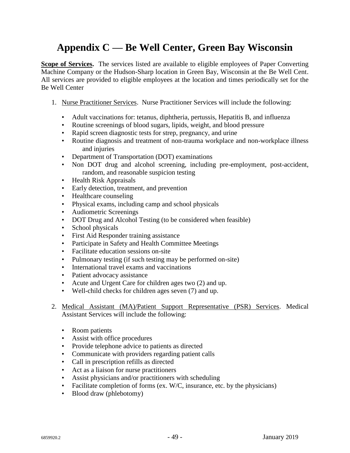## <span id="page-51-0"></span>**Appendix C — Be Well Center, Green Bay Wisconsin**

**Scope of Services.** The services listed are available to eligible employees of Paper Converting Machine Company or the Hudson-Sharp location in Green Bay, Wisconsin at the Be Well Cent. All services are provided to eligible employees at the location and times periodically set for the Be Well Center

- 1. Nurse Practitioner Services. Nurse Practitioner Services will include the following:
	- Adult vaccinations for: tetanus, diphtheria, pertussis, Hepatitis B, and influenza
	- Routine screenings of blood sugars, lipids, weight, and blood pressure
	- Rapid screen diagnostic tests for strep, pregnancy, and urine
	- Routine diagnosis and treatment of non-trauma workplace and non-workplace illness and injuries
	- Department of Transportation (DOT) examinations
	- Non DOT drug and alcohol screening, including pre-employment, post-accident, random, and reasonable suspicion testing
	- Health Risk Appraisals
	- Early detection, treatment, and prevention
	- Healthcare counseling
	- Physical exams, including camp and school physicals
	- Audiometric Screenings
	- DOT Drug and Alcohol Testing (to be considered when feasible)
	- School physicals
	- First Aid Responder training assistance
	- Participate in Safety and Health Committee Meetings
	- Facilitate education sessions on-site
	- Pulmonary testing (if such testing may be performed on-site)
	- International travel exams and vaccinations
	- Patient advocacy assistance
	- Acute and Urgent Care for children ages two (2) and up.
	- Well-child checks for children ages seven (7) and up.
- 2. Medical Assistant (MA)/Patient Support Representative (PSR) Services. Medical Assistant Services will include the following:
	- Room patients
	- Assist with office procedures
	- Provide telephone advice to patients as directed
	- Communicate with providers regarding patient calls
	- Call in prescription refills as directed
	- Act as a liaison for nurse practitioners
	- Assist physicians and/or practitioners with scheduling
	- Facilitate completion of forms (ex. W/C, insurance, etc. by the physicians)
	- Blood draw (phlebotomy)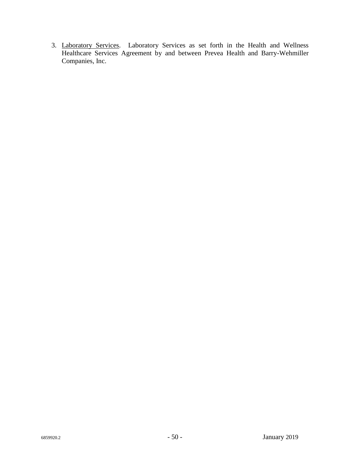3. Laboratory Services. Laboratory Services as set forth in the Health and Wellness Healthcare Services Agreement by and between Prevea Health and Barry-Wehmiller Companies, Inc.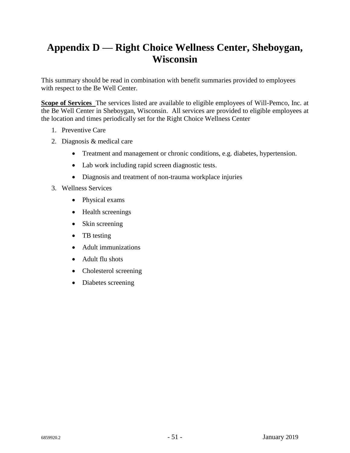## <span id="page-53-0"></span>**Appendix D — Right Choice Wellness Center, Sheboygan, Wisconsin**

This summary should be read in combination with benefit summaries provided to employees with respect to the Be Well Center.

**Scope of Services** The services listed are available to eligible employees of Will-Pemco, Inc. at the Be Well Center in Sheboygan, Wisconsin. All services are provided to eligible employees at the location and times periodically set for the Right Choice Wellness Center

- 1. Preventive Care
- 2. Diagnosis & medical care
	- Treatment and management or chronic conditions, e.g. diabetes, hypertension.
	- Lab work including rapid screen diagnostic tests.
	- Diagnosis and treatment of non-trauma workplace injuries
- 3. Wellness Services
	- Physical exams
	- Health screenings
	- Skin screening
	- TB testing
	- Adult immunizations
	- Adult flu shots
	- Cholesterol screening
	- Diabetes screening